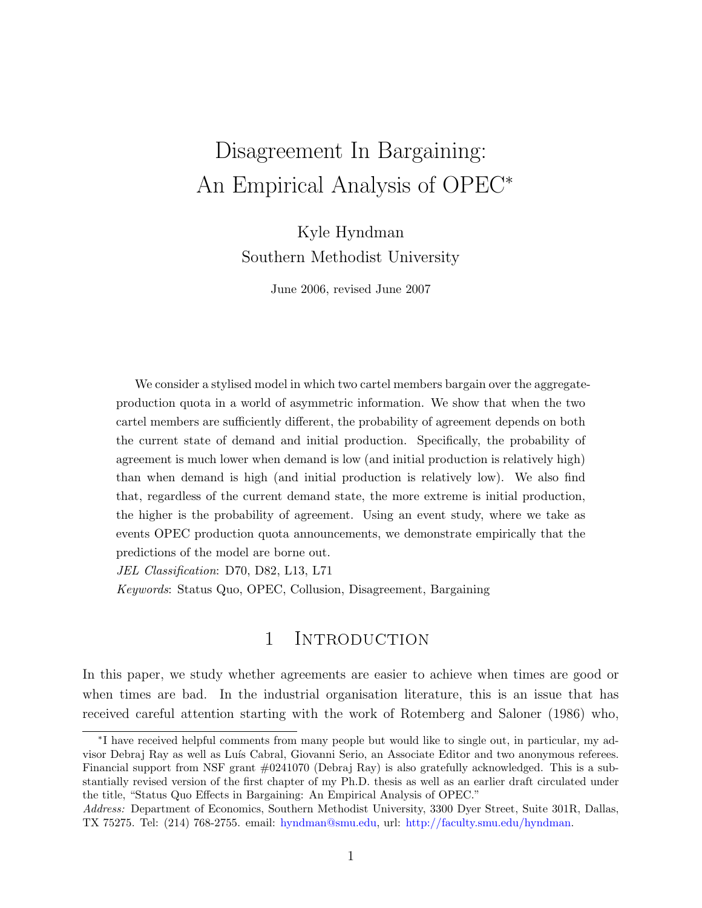# Disagreement In Bargaining: An Empirical Analysis of OPEC<sup>∗</sup>

Kyle Hyndman Southern Methodist University

June 2006, revised June 2007

We consider a stylised model in which two cartel members bargain over the aggregateproduction quota in a world of asymmetric information. We show that when the two cartel members are sufficiently different, the probability of agreement depends on both the current state of demand and initial production. Specifically, the probability of agreement is much lower when demand is low (and initial production is relatively high) than when demand is high (and initial production is relatively low). We also find that, regardless of the current demand state, the more extreme is initial production, the higher is the probability of agreement. Using an event study, where we take as events OPEC production quota announcements, we demonstrate empirically that the predictions of the model are borne out.

JEL Classification: D70, D82, L13, L71

Keywords: Status Quo, OPEC, Collusion, Disagreement, Bargaining

# 1 Introduction

In this paper, we study whether agreements are easier to achieve when times are good or when times are bad. In the industrial organisation literature, this is an issue that has received careful attention starting with the work of Rotemberg and Saloner (1986) who,

<sup>∗</sup> I have received helpful comments from many people but would like to single out, in particular, my advisor Debraj Ray as well as Luís Cabral, Giovanni Serio, an Associate Editor and two anonymous referees. Financial support from NSF grant #0241070 (Debraj Ray) is also gratefully acknowledged. This is a substantially revised version of the first chapter of my Ph.D. thesis as well as an earlier draft circulated under the title, "Status Quo Effects in Bargaining: An Empirical Analysis of OPEC."

Address: Department of Economics, Southern Methodist University, 3300 Dyer Street, Suite 301R, Dallas, TX 75275. Tel: (214) 768-2755. email: hyndman@smu.edu, url: http://faculty.smu.edu/hyndman.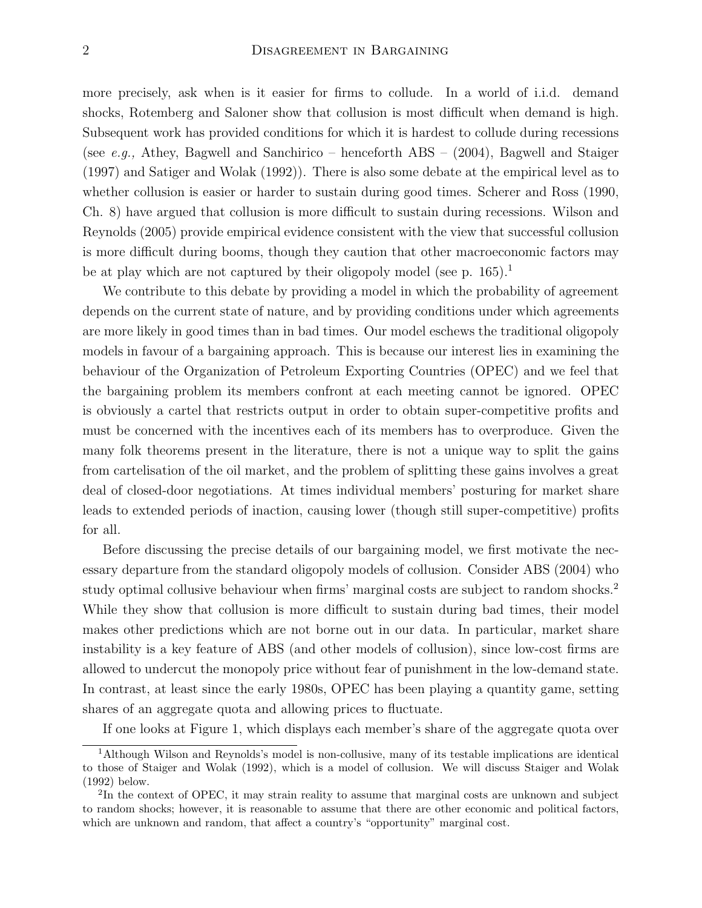more precisely, ask when is it easier for firms to collude. In a world of i.i.d. demand shocks, Rotemberg and Saloner show that collusion is most difficult when demand is high. Subsequent work has provided conditions for which it is hardest to collude during recessions (see e.g., Athey, Bagwell and Sanchirico – henceforth ABS –  $(2004)$ , Bagwell and Staiger (1997) and Satiger and Wolak (1992)). There is also some debate at the empirical level as to whether collusion is easier or harder to sustain during good times. Scherer and Ross (1990, Ch. 8) have argued that collusion is more difficult to sustain during recessions. Wilson and Reynolds (2005) provide empirical evidence consistent with the view that successful collusion is more difficult during booms, though they caution that other macroeconomic factors may be at play which are not captured by their oligopoly model (see p.  $165$ ).<sup>1</sup>

We contribute to this debate by providing a model in which the probability of agreement depends on the current state of nature, and by providing conditions under which agreements are more likely in good times than in bad times. Our model eschews the traditional oligopoly models in favour of a bargaining approach. This is because our interest lies in examining the behaviour of the Organization of Petroleum Exporting Countries (OPEC) and we feel that the bargaining problem its members confront at each meeting cannot be ignored. OPEC is obviously a cartel that restricts output in order to obtain super-competitive profits and must be concerned with the incentives each of its members has to overproduce. Given the many folk theorems present in the literature, there is not a unique way to split the gains from cartelisation of the oil market, and the problem of splitting these gains involves a great deal of closed-door negotiations. At times individual members' posturing for market share leads to extended periods of inaction, causing lower (though still super-competitive) profits for all.

Before discussing the precise details of our bargaining model, we first motivate the necessary departure from the standard oligopoly models of collusion. Consider ABS (2004) who study optimal collusive behaviour when firms' marginal costs are subject to random shocks.<sup>2</sup> While they show that collusion is more difficult to sustain during bad times, their model makes other predictions which are not borne out in our data. In particular, market share instability is a key feature of ABS (and other models of collusion), since low-cost firms are allowed to undercut the monopoly price without fear of punishment in the low-demand state. In contrast, at least since the early 1980s, OPEC has been playing a quantity game, setting shares of an aggregate quota and allowing prices to fluctuate.

If one looks at Figure 1, which displays each member's share of the aggregate quota over

<sup>1</sup>Although Wilson and Reynolds's model is non-collusive, many of its testable implications are identical to those of Staiger and Wolak (1992), which is a model of collusion. We will discuss Staiger and Wolak (1992) below.

<sup>&</sup>lt;sup>2</sup>In the context of OPEC, it may strain reality to assume that marginal costs are unknown and subject to random shocks; however, it is reasonable to assume that there are other economic and political factors, which are unknown and random, that affect a country's "opportunity" marginal cost.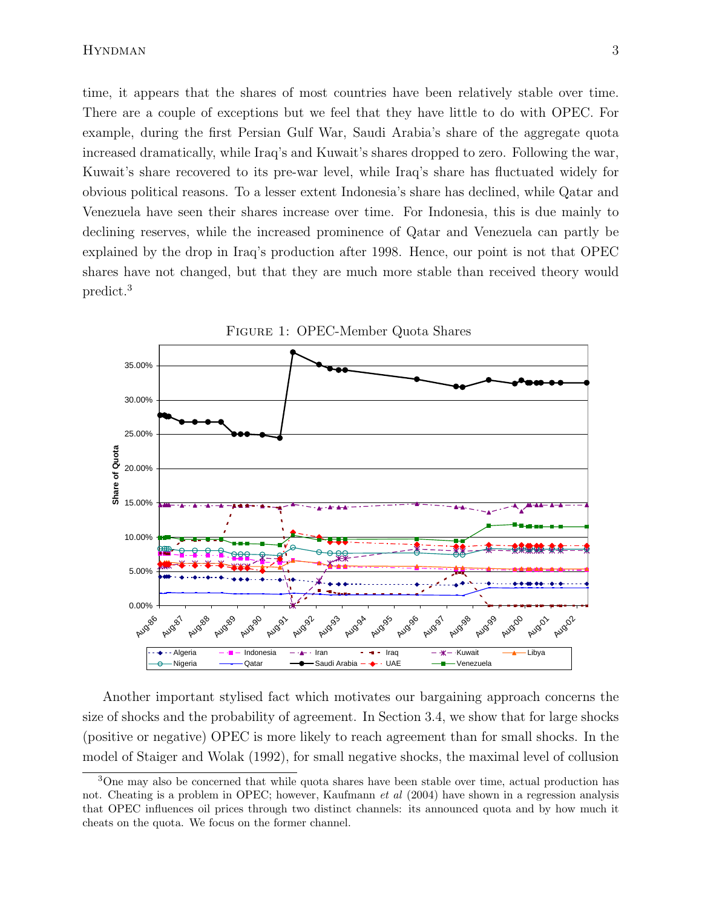time, it appears that the shares of most countries have been relatively stable over time. There are a couple of exceptions but we feel that they have little to do with OPEC. For example, during the first Persian Gulf War, Saudi Arabia's share of the aggregate quota increased dramatically, while Iraq's and Kuwait's shares dropped to zero. Following the war, Kuwait's share recovered to its pre-war level, while Iraq's share has fluctuated widely for obvious political reasons. To a lesser extent Indonesia's share has declined, while Qatar and Venezuela have seen their shares increase over time. For Indonesia, this is due mainly to declining reserves, while the increased prominence of Qatar and Venezuela can partly be explained by the drop in Iraq's production after 1998. Hence, our point is not that OPEC shares have not changed, but that they are much more stable than received theory would predict.<sup>3</sup>



Another important stylised fact which motivates our bargaining approach concerns the size of shocks and the probability of agreement. In Section 3.4, we show that for large shocks (positive or negative) OPEC is more likely to reach agreement than for small shocks. In the model of Staiger and Wolak (1992), for small negative shocks, the maximal level of collusion

<sup>&</sup>lt;sup>3</sup>One may also be concerned that while quota shares have been stable over time, actual production has not. Cheating is a problem in OPEC; however, Kaufmann et al (2004) have shown in a regression analysis that OPEC influences oil prices through two distinct channels: its announced quota and by how much it cheats on the quota. We focus on the former channel.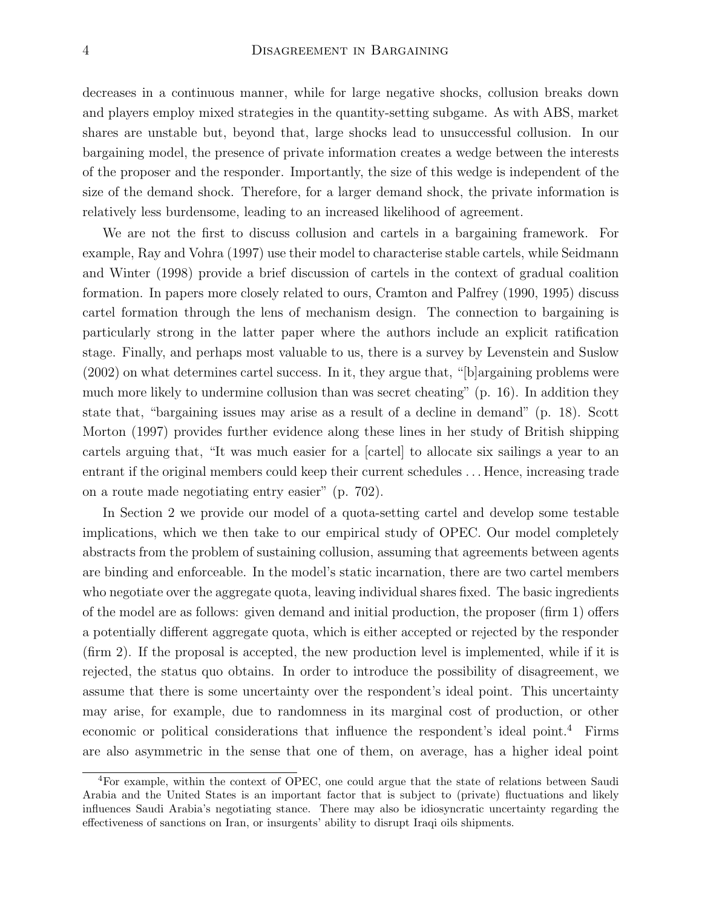decreases in a continuous manner, while for large negative shocks, collusion breaks down and players employ mixed strategies in the quantity-setting subgame. As with ABS, market shares are unstable but, beyond that, large shocks lead to unsuccessful collusion. In our bargaining model, the presence of private information creates a wedge between the interests of the proposer and the responder. Importantly, the size of this wedge is independent of the size of the demand shock. Therefore, for a larger demand shock, the private information is relatively less burdensome, leading to an increased likelihood of agreement.

We are not the first to discuss collusion and cartels in a bargaining framework. For example, Ray and Vohra (1997) use their model to characterise stable cartels, while Seidmann and Winter (1998) provide a brief discussion of cartels in the context of gradual coalition formation. In papers more closely related to ours, Cramton and Palfrey (1990, 1995) discuss cartel formation through the lens of mechanism design. The connection to bargaining is particularly strong in the latter paper where the authors include an explicit ratification stage. Finally, and perhaps most valuable to us, there is a survey by Levenstein and Suslow (2002) on what determines cartel success. In it, they argue that, "[b]argaining problems were much more likely to undermine collusion than was secret cheating" (p. 16). In addition they state that, "bargaining issues may arise as a result of a decline in demand" (p. 18). Scott Morton (1997) provides further evidence along these lines in her study of British shipping cartels arguing that, "It was much easier for a [cartel] to allocate six sailings a year to an entrant if the original members could keep their current schedules . . . Hence, increasing trade on a route made negotiating entry easier" (p. 702).

In Section 2 we provide our model of a quota-setting cartel and develop some testable implications, which we then take to our empirical study of OPEC. Our model completely abstracts from the problem of sustaining collusion, assuming that agreements between agents are binding and enforceable. In the model's static incarnation, there are two cartel members who negotiate over the aggregate quota, leaving individual shares fixed. The basic ingredients of the model are as follows: given demand and initial production, the proposer (firm 1) offers a potentially different aggregate quota, which is either accepted or rejected by the responder (firm 2). If the proposal is accepted, the new production level is implemented, while if it is rejected, the status quo obtains. In order to introduce the possibility of disagreement, we assume that there is some uncertainty over the respondent's ideal point. This uncertainty may arise, for example, due to randomness in its marginal cost of production, or other economic or political considerations that influence the respondent's ideal point.<sup>4</sup> Firms are also asymmetric in the sense that one of them, on average, has a higher ideal point

<sup>4</sup>For example, within the context of OPEC, one could argue that the state of relations between Saudi Arabia and the United States is an important factor that is subject to (private) fluctuations and likely influences Saudi Arabia's negotiating stance. There may also be idiosyncratic uncertainty regarding the effectiveness of sanctions on Iran, or insurgents' ability to disrupt Iraqi oils shipments.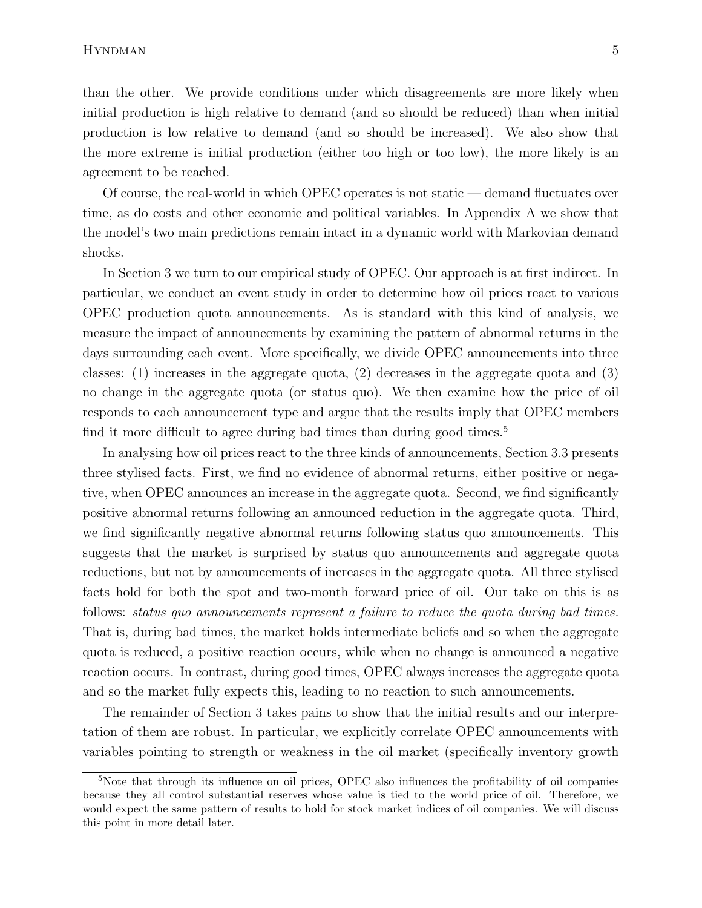than the other. We provide conditions under which disagreements are more likely when initial production is high relative to demand (and so should be reduced) than when initial production is low relative to demand (and so should be increased). We also show that the more extreme is initial production (either too high or too low), the more likely is an agreement to be reached.

Of course, the real-world in which OPEC operates is not static — demand fluctuates over time, as do costs and other economic and political variables. In Appendix A we show that the model's two main predictions remain intact in a dynamic world with Markovian demand shocks.

In Section 3 we turn to our empirical study of OPEC. Our approach is at first indirect. In particular, we conduct an event study in order to determine how oil prices react to various OPEC production quota announcements. As is standard with this kind of analysis, we measure the impact of announcements by examining the pattern of abnormal returns in the days surrounding each event. More specifically, we divide OPEC announcements into three classes: (1) increases in the aggregate quota, (2) decreases in the aggregate quota and (3) no change in the aggregate quota (or status quo). We then examine how the price of oil responds to each announcement type and argue that the results imply that OPEC members find it more difficult to agree during bad times than during good times.<sup>5</sup>

In analysing how oil prices react to the three kinds of announcements, Section 3.3 presents three stylised facts. First, we find no evidence of abnormal returns, either positive or negative, when OPEC announces an increase in the aggregate quota. Second, we find significantly positive abnormal returns following an announced reduction in the aggregate quota. Third, we find significantly negative abnormal returns following status quo announcements. This suggests that the market is surprised by status quo announcements and aggregate quota reductions, but not by announcements of increases in the aggregate quota. All three stylised facts hold for both the spot and two-month forward price of oil. Our take on this is as follows: status quo announcements represent a failure to reduce the quota during bad times. That is, during bad times, the market holds intermediate beliefs and so when the aggregate quota is reduced, a positive reaction occurs, while when no change is announced a negative reaction occurs. In contrast, during good times, OPEC always increases the aggregate quota and so the market fully expects this, leading to no reaction to such announcements.

The remainder of Section 3 takes pains to show that the initial results and our interpretation of them are robust. In particular, we explicitly correlate OPEC announcements with variables pointing to strength or weakness in the oil market (specifically inventory growth

<sup>5</sup>Note that through its influence on oil prices, OPEC also influences the profitability of oil companies because they all control substantial reserves whose value is tied to the world price of oil. Therefore, we would expect the same pattern of results to hold for stock market indices of oil companies. We will discuss this point in more detail later.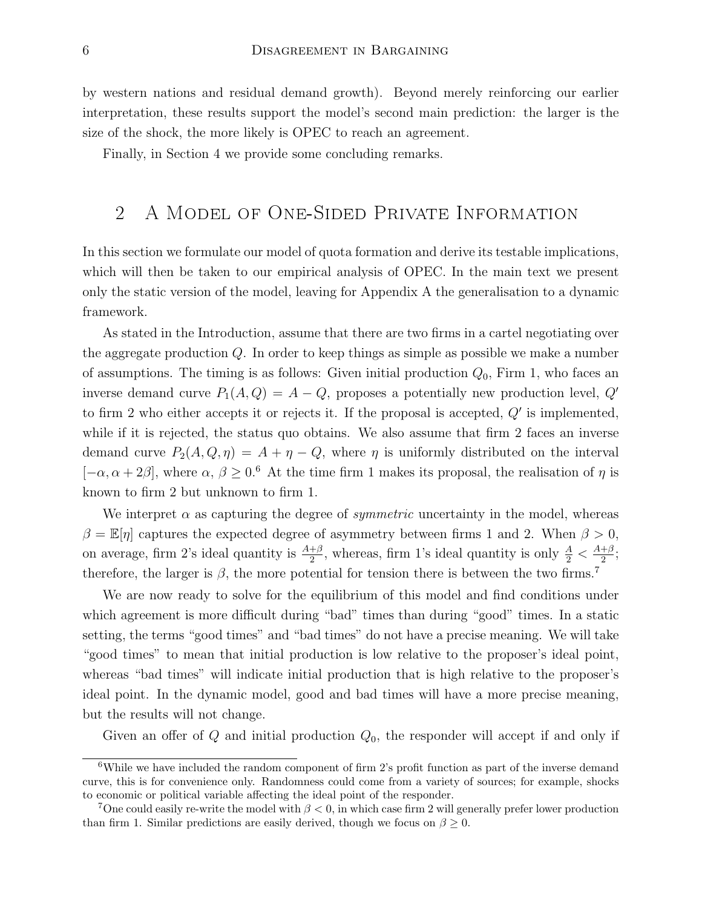by western nations and residual demand growth). Beyond merely reinforcing our earlier interpretation, these results support the model's second main prediction: the larger is the size of the shock, the more likely is OPEC to reach an agreement.

Finally, in Section 4 we provide some concluding remarks.

# 2 A Model of One-Sided Private Information

In this section we formulate our model of quota formation and derive its testable implications, which will then be taken to our empirical analysis of OPEC. In the main text we present only the static version of the model, leaving for Appendix A the generalisation to a dynamic framework.

As stated in the Introduction, assume that there are two firms in a cartel negotiating over the aggregate production Q. In order to keep things as simple as possible we make a number of assumptions. The timing is as follows: Given initial production  $Q_0$ , Firm 1, who faces an inverse demand curve  $P_1(A,Q) = A - Q$ , proposes a potentially new production level, Q' to firm 2 who either accepts it or rejects it. If the proposal is accepted,  $Q'$  is implemented, while if it is rejected, the status quo obtains. We also assume that firm 2 faces an inverse demand curve  $P_2(A, Q, \eta) = A + \eta - Q$ , where  $\eta$  is uniformly distributed on the interval  $[-\alpha, \alpha + 2\beta]$ , where  $\alpha, \beta \geq 0.6$  At the time firm 1 makes its proposal, the realisation of  $\eta$  is known to firm 2 but unknown to firm 1.

We interpret  $\alpha$  as capturing the degree of *symmetric* uncertainty in the model, whereas  $\beta = \mathbb{E}[\eta]$  captures the expected degree of asymmetry between firms 1 and 2. When  $\beta > 0$ , on average, firm 2's ideal quantity is  $\frac{A+\beta}{2}$ , whereas, firm 1's ideal quantity is only  $\frac{A}{2} < \frac{A+\beta}{2}$  $\frac{+\beta}{2};$ therefore, the larger is  $\beta$ , the more potential for tension there is between the two firms.<sup>7</sup>

We are now ready to solve for the equilibrium of this model and find conditions under which agreement is more difficult during "bad" times than during "good" times. In a static setting, the terms "good times" and "bad times" do not have a precise meaning. We will take "good times" to mean that initial production is low relative to the proposer's ideal point, whereas "bad times" will indicate initial production that is high relative to the proposer's ideal point. In the dynamic model, good and bad times will have a more precise meaning, but the results will not change.

Given an offer of Q and initial production  $Q_0$ , the responder will accept if and only if

<sup>&</sup>lt;sup>6</sup>While we have included the random component of firm 2's profit function as part of the inverse demand curve, this is for convenience only. Randomness could come from a variety of sources; for example, shocks to economic or political variable affecting the ideal point of the responder.

<sup>&</sup>lt;sup>7</sup>One could easily re-write the model with  $\beta$  < 0, in which case firm 2 will generally prefer lower production than firm 1. Similar predictions are easily derived, though we focus on  $\beta \geq 0$ .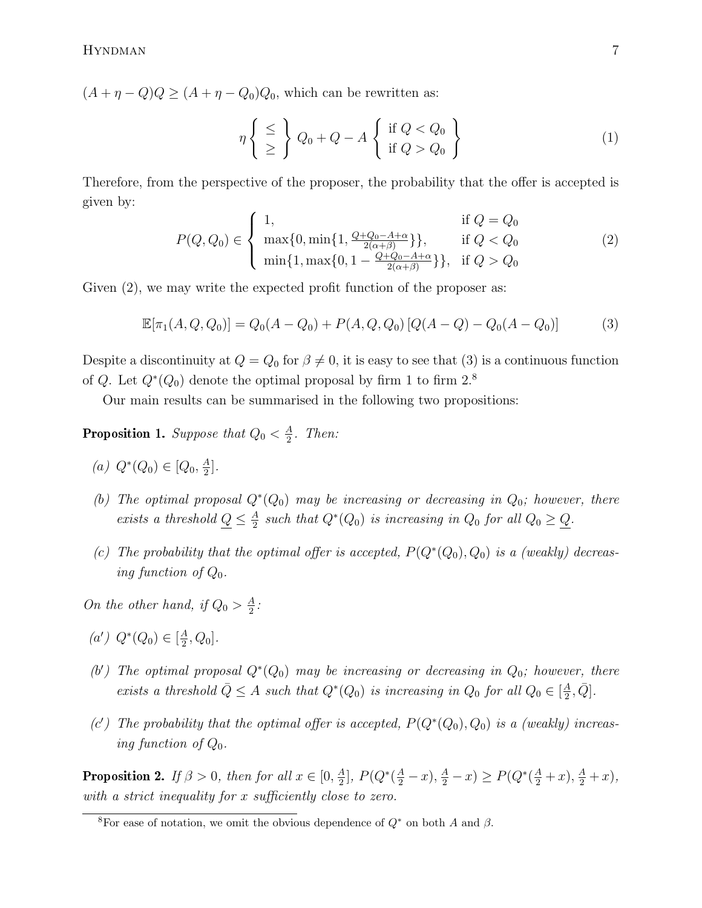$(A + \eta - Q)Q \ge (A + \eta - Q_0)Q_0$ , which can be rewritten as:

$$
\eta \left\{ \begin{array}{c} \le \\ \ge \end{array} \right\} Q_0 + Q - A \left\{ \begin{array}{c} \text{if } Q < Q_0 \\ \text{if } Q > Q_0 \end{array} \right\} \tag{1}
$$

Therefore, from the perspective of the proposer, the probability that the offer is accepted is given by:

$$
P(Q, Q_0) \in \begin{cases} 1, & \text{if } Q = Q_0 \\ \max\{0, \min\{1, \frac{Q + Q_0 - A + \alpha}{2(\alpha + \beta)}\}\}, & \text{if } Q < Q_0 \\ \min\{1, \max\{0, 1 - \frac{Q + Q_0 - A + \alpha}{2(\alpha + \beta)}\}\}, & \text{if } Q > Q_0 \end{cases}
$$
(2)

Given (2), we may write the expected profit function of the proposer as:

$$
\mathbb{E}[\pi_1(A, Q, Q_0)] = Q_0(A - Q_0) + P(A, Q, Q_0) [Q(A - Q) - Q_0(A - Q_0)] \tag{3}
$$

Despite a discontinuity at  $Q = Q_0$  for  $\beta \neq 0$ , it is easy to see that (3) is a continuous function of Q. Let  $Q^*(Q_0)$  denote the optimal proposal by firm 1 to firm  $2.8$ 

Our main results can be summarised in the following two propositions:

**Proposition 1.** Suppose that  $Q_0 < \frac{A}{2}$  $\frac{A}{2}$ . Then:

- $(a) Q^*(Q_0) \in [Q_0, \frac{A}{2}]$  $\frac{A}{2}$ .
- (b) The optimal proposal  $Q^*(Q_0)$  may be increasing or decreasing in  $Q_0$ ; however, there exists a threshold  $Q \leq \frac{A}{2}$  $\frac{A}{2}$  such that  $Q^*(Q_0)$  is increasing in  $Q_0$  for all  $Q_0 \geq Q$ .
- (c) The probability that the optimal offer is accepted,  $P(Q^*(Q_0), Q_0)$  is a (weakly) decreasing function of  $Q_0$ .

On the other hand, if  $Q_0 > \frac{A}{2}$  $\frac{A}{2}$ :

- $(a')$  Q<sup>∗</sup>(Q<sub>0</sub>) ∈  $\frac{A}{2}$  $\frac{A}{2}, Q_0].$
- (b') The optimal proposal  $Q^*(Q_0)$  may be increasing or decreasing in  $Q_0$ ; however, there exists a threshold  $\overline{Q} \leq A$  such that  $Q^*(Q_0)$  is increasing in  $Q_0$  for all  $Q_0 \in \left[\frac{A}{2}\right]$  $\frac{A}{2}, \bar{Q}].$
- (c') The probability that the optimal offer is accepted,  $P(Q^*(Q_0), Q_0)$  is a (weakly) increasing function of  $Q_0$ .

**Proposition 2.** If  $\beta > 0$ , then for all  $x \in [0, \frac{A}{2}]$  $\frac{A}{2}$ ,  $P(Q^*(\frac{A}{2}-x), \frac{A}{2}-x) \geq P(Q^*(\frac{A}{2}+x), \frac{A}{2}+x)$ , with a strict inequality for x sufficiently close to zero.

<sup>&</sup>lt;sup>8</sup>For ease of notation, we omit the obvious dependence of  $Q^*$  on both A and  $\beta$ .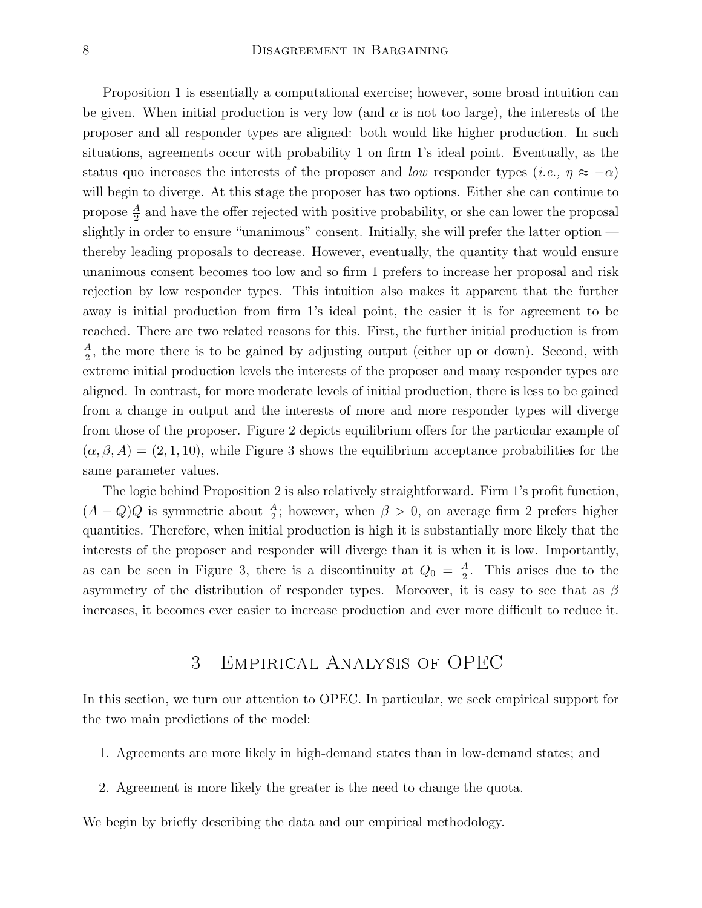Proposition 1 is essentially a computational exercise; however, some broad intuition can be given. When initial production is very low (and  $\alpha$  is not too large), the interests of the proposer and all responder types are aligned: both would like higher production. In such situations, agreements occur with probability 1 on firm 1's ideal point. Eventually, as the status quo increases the interests of the proposer and low responder types (i.e.,  $\eta \approx -\alpha$ ) will begin to diverge. At this stage the proposer has two options. Either she can continue to propose  $\frac{A}{2}$  and have the offer rejected with positive probability, or she can lower the proposal slightly in order to ensure "unanimous" consent. Initially, she will prefer the latter option thereby leading proposals to decrease. However, eventually, the quantity that would ensure unanimous consent becomes too low and so firm 1 prefers to increase her proposal and risk rejection by low responder types. This intuition also makes it apparent that the further away is initial production from firm 1's ideal point, the easier it is for agreement to be reached. There are two related reasons for this. First, the further initial production is from A  $\frac{4}{2}$ , the more there is to be gained by adjusting output (either up or down). Second, with extreme initial production levels the interests of the proposer and many responder types are aligned. In contrast, for more moderate levels of initial production, there is less to be gained from a change in output and the interests of more and more responder types will diverge from those of the proposer. Figure 2 depicts equilibrium offers for the particular example of  $(\alpha, \beta, A) = (2, 1, 10)$ , while Figure 3 shows the equilibrium acceptance probabilities for the same parameter values.

The logic behind Proposition 2 is also relatively straightforward. Firm 1's profit function,  $(A - Q)Q$  is symmetric about  $\frac{A}{2}$ ; however, when  $\beta > 0$ , on average firm 2 prefers higher quantities. Therefore, when initial production is high it is substantially more likely that the interests of the proposer and responder will diverge than it is when it is low. Importantly, as can be seen in Figure 3, there is a discontinuity at  $Q_0 = \frac{A}{2}$  $\frac{A}{2}$ . This arises due to the asymmetry of the distribution of responder types. Moreover, it is easy to see that as  $\beta$ increases, it becomes ever easier to increase production and ever more difficult to reduce it.

# 3 Empirical Analysis of OPEC

In this section, we turn our attention to OPEC. In particular, we seek empirical support for the two main predictions of the model:

- 1. Agreements are more likely in high-demand states than in low-demand states; and
- 2. Agreement is more likely the greater is the need to change the quota.

We begin by briefly describing the data and our empirical methodology.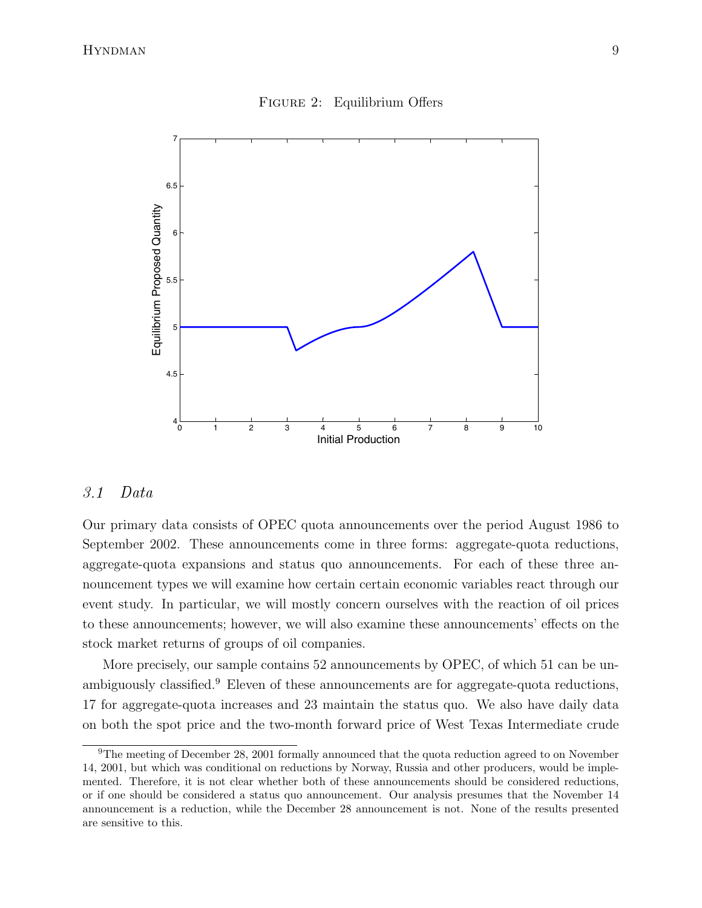



#### 3.1 Data

Our primary data consists of OPEC quota announcements over the period August 1986 to September 2002. These announcements come in three forms: aggregate-quota reductions, aggregate-quota expansions and status quo announcements. For each of these three announcement types we will examine how certain certain economic variables react through our event study. In particular, we will mostly concern ourselves with the reaction of oil prices to these announcements; however, we will also examine these announcements' effects on the stock market returns of groups of oil companies.

More precisely, our sample contains 52 announcements by OPEC, of which 51 can be unambiguously classified.<sup>9</sup> Eleven of these announcements are for aggregate-quota reductions, 17 for aggregate-quota increases and 23 maintain the status quo. We also have daily data on both the spot price and the two-month forward price of West Texas Intermediate crude

<sup>&</sup>lt;sup>9</sup>The meeting of December 28, 2001 formally announced that the quota reduction agreed to on November 14, 2001, but which was conditional on reductions by Norway, Russia and other producers, would be implemented. Therefore, it is not clear whether both of these announcements should be considered reductions, or if one should be considered a status quo announcement. Our analysis presumes that the November 14 announcement is a reduction, while the December 28 announcement is not. None of the results presented are sensitive to this.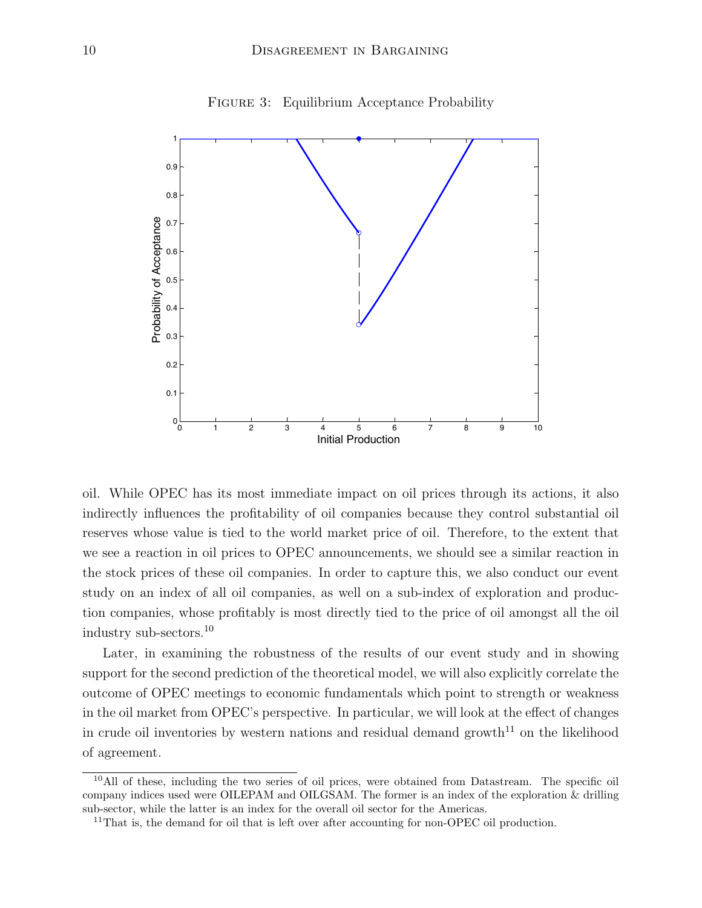

FIGURE 3: Equilibrium Acceptance Probability

oil. While OPEC has its most immediate impact on oil prices through its actions, it also indirectly influences the profitability of oil companies because they control substantial oil reserves whose value is tied to the world market price of oil. Therefore, to the extent that we see a reaction in oil prices to OPEC announcements, we should see a similar reaction in the stock prices of these oil companies. In order to capture this, we also conduct our event study on an index of all oil companies, as well on a sub-index of exploration and production companies, whose profitably is most directly tied to the price of oil amongst all the oil industry sub-sectors.<sup>10</sup>

Later, in examining the robustness of the results of our event study and in showing support for the second prediction of the theoretical model, we will also explicitly correlate the outcome of OPEC meetings to economic fundamentals which point to strength or weakness in the oil market from OPEC's perspective. In particular, we will look at the effect of changes in crude oil inventories by western nations and residual demand growth<sup>11</sup> on the likelihood of agreement.

<sup>&</sup>lt;sup>10</sup>All of these, including the two series of oil prices, were obtained from Datastream. The specific oil company indices used were OILEPAM and OILGSAM. The former is an index of the exploration & drilling sub-sector, while the latter is an index for the overall oil sector for the Americas.

<sup>&</sup>lt;sup>11</sup>That is, the demand for oil that is left over after accounting for non-OPEC oil production.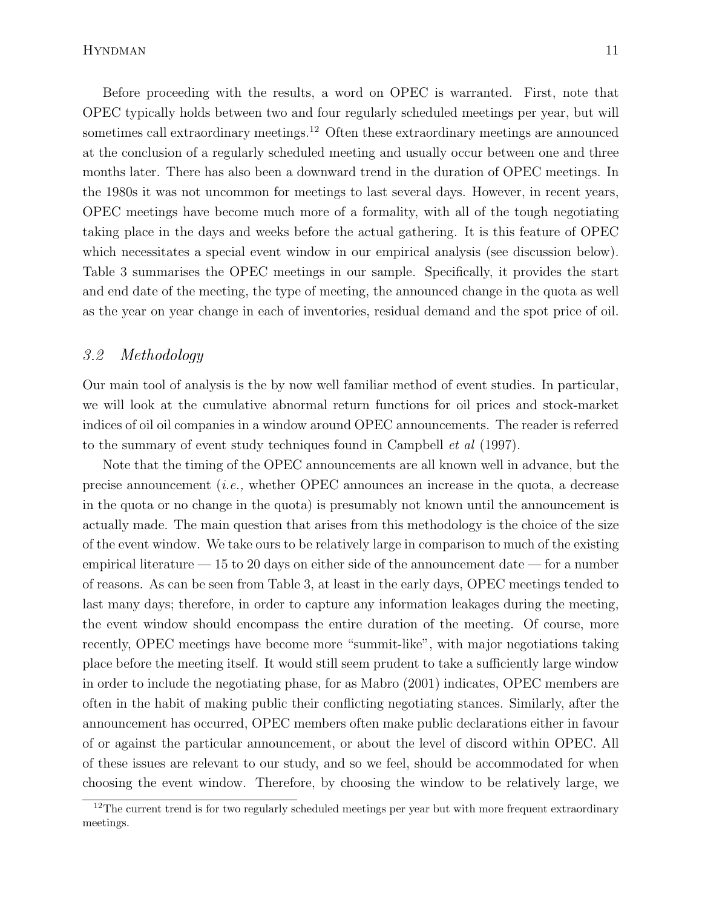Before proceeding with the results, a word on OPEC is warranted. First, note that OPEC typically holds between two and four regularly scheduled meetings per year, but will sometimes call extraordinary meetings.<sup>12</sup> Often these extraordinary meetings are announced at the conclusion of a regularly scheduled meeting and usually occur between one and three months later. There has also been a downward trend in the duration of OPEC meetings. In the 1980s it was not uncommon for meetings to last several days. However, in recent years, OPEC meetings have become much more of a formality, with all of the tough negotiating taking place in the days and weeks before the actual gathering. It is this feature of OPEC which necessitates a special event window in our empirical analysis (see discussion below). Table 3 summarises the OPEC meetings in our sample. Specifically, it provides the start and end date of the meeting, the type of meeting, the announced change in the quota as well as the year on year change in each of inventories, residual demand and the spot price of oil.

### 3.2 Methodology

Our main tool of analysis is the by now well familiar method of event studies. In particular, we will look at the cumulative abnormal return functions for oil prices and stock-market indices of oil oil companies in a window around OPEC announcements. The reader is referred to the summary of event study techniques found in Campbell *et al* (1997).

Note that the timing of the OPEC announcements are all known well in advance, but the precise announcement  $(i.e.,$  whether OPEC announces an increase in the quota, a decrease in the quota or no change in the quota) is presumably not known until the announcement is actually made. The main question that arises from this methodology is the choice of the size of the event window. We take ours to be relatively large in comparison to much of the existing empirical literature  $-15$  to 20 days on either side of the announcement date  $-$  for a number of reasons. As can be seen from Table 3, at least in the early days, OPEC meetings tended to last many days; therefore, in order to capture any information leakages during the meeting, the event window should encompass the entire duration of the meeting. Of course, more recently, OPEC meetings have become more "summit-like", with major negotiations taking place before the meeting itself. It would still seem prudent to take a sufficiently large window in order to include the negotiating phase, for as Mabro (2001) indicates, OPEC members are often in the habit of making public their conflicting negotiating stances. Similarly, after the announcement has occurred, OPEC members often make public declarations either in favour of or against the particular announcement, or about the level of discord within OPEC. All of these issues are relevant to our study, and so we feel, should be accommodated for when choosing the event window. Therefore, by choosing the window to be relatively large, we

 $12$ The current trend is for two regularly scheduled meetings per year but with more frequent extraordinary meetings.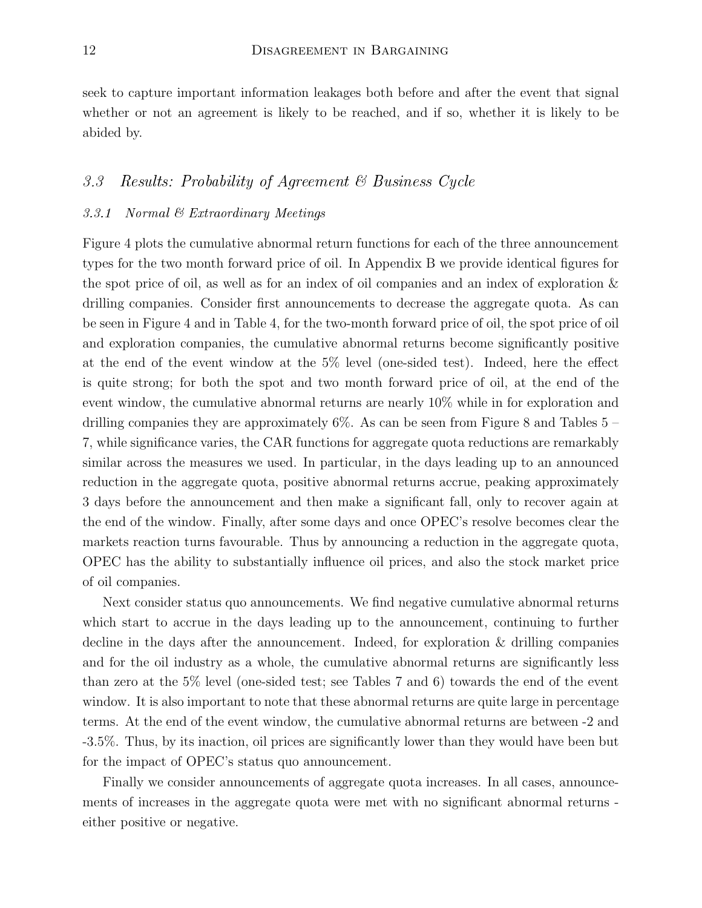seek to capture important information leakages both before and after the event that signal whether or not an agreement is likely to be reached, and if so, whether it is likely to be abided by.

### 3.3 Results: Probability of Agreement & Business Cycle

#### 3.3.1 Normal & Extraordinary Meetings

Figure 4 plots the cumulative abnormal return functions for each of the three announcement types for the two month forward price of oil. In Appendix B we provide identical figures for the spot price of oil, as well as for an index of oil companies and an index of exploration  $\&$ drilling companies. Consider first announcements to decrease the aggregate quota. As can be seen in Figure 4 and in Table 4, for the two-month forward price of oil, the spot price of oil and exploration companies, the cumulative abnormal returns become significantly positive at the end of the event window at the 5% level (one-sided test). Indeed, here the effect is quite strong; for both the spot and two month forward price of oil, at the end of the event window, the cumulative abnormal returns are nearly 10% while in for exploration and drilling companies they are approximately 6%. As can be seen from Figure 8 and Tables 5 – 7, while significance varies, the CAR functions for aggregate quota reductions are remarkably similar across the measures we used. In particular, in the days leading up to an announced reduction in the aggregate quota, positive abnormal returns accrue, peaking approximately 3 days before the announcement and then make a significant fall, only to recover again at the end of the window. Finally, after some days and once OPEC's resolve becomes clear the markets reaction turns favourable. Thus by announcing a reduction in the aggregate quota, OPEC has the ability to substantially influence oil prices, and also the stock market price of oil companies.

Next consider status quo announcements. We find negative cumulative abnormal returns which start to accrue in the days leading up to the announcement, continuing to further decline in the days after the announcement. Indeed, for exploration & drilling companies and for the oil industry as a whole, the cumulative abnormal returns are significantly less than zero at the 5% level (one-sided test; see Tables 7 and 6) towards the end of the event window. It is also important to note that these abnormal returns are quite large in percentage terms. At the end of the event window, the cumulative abnormal returns are between -2 and -3.5%. Thus, by its inaction, oil prices are significantly lower than they would have been but for the impact of OPEC's status quo announcement.

Finally we consider announcements of aggregate quota increases. In all cases, announcements of increases in the aggregate quota were met with no significant abnormal returns either positive or negative.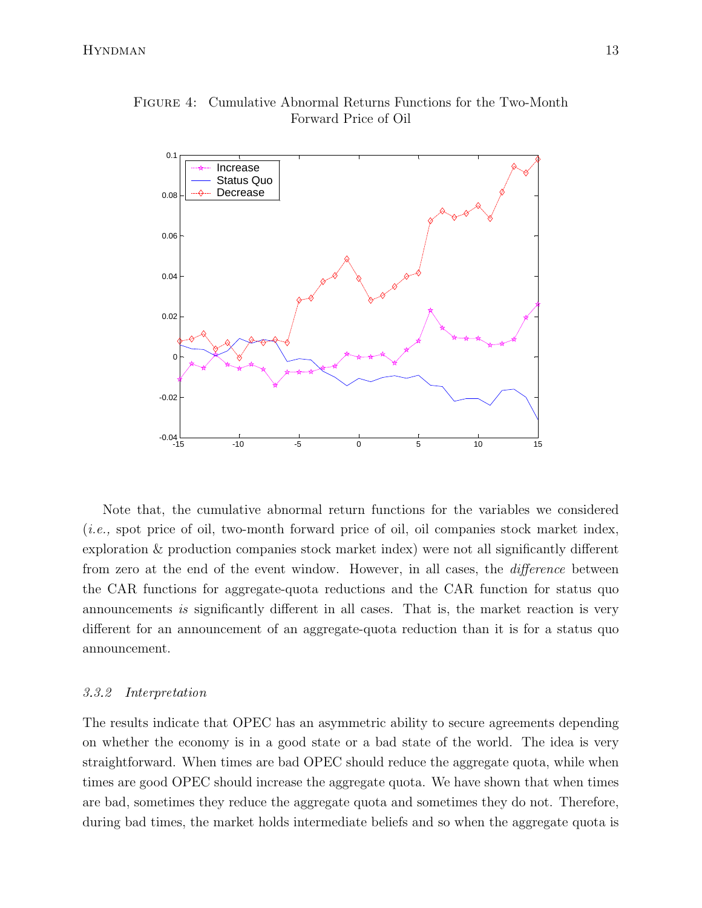

Figure 4: Cumulative Abnormal Returns Functions for the Two-Month Forward Price of Oil

Note that, the cumulative abnormal return functions for the variables we considered (i.e., spot price of oil, two-month forward price of oil, oil companies stock market index, exploration & production companies stock market index) were not all significantly different from zero at the end of the event window. However, in all cases, the difference between the CAR functions for aggregate-quota reductions and the CAR function for status quo announcements is significantly different in all cases. That is, the market reaction is very different for an announcement of an aggregate-quota reduction than it is for a status quo announcement.

#### 3.3.2 Interpretation

The results indicate that OPEC has an asymmetric ability to secure agreements depending on whether the economy is in a good state or a bad state of the world. The idea is very straightforward. When times are bad OPEC should reduce the aggregate quota, while when times are good OPEC should increase the aggregate quota. We have shown that when times are bad, sometimes they reduce the aggregate quota and sometimes they do not. Therefore, during bad times, the market holds intermediate beliefs and so when the aggregate quota is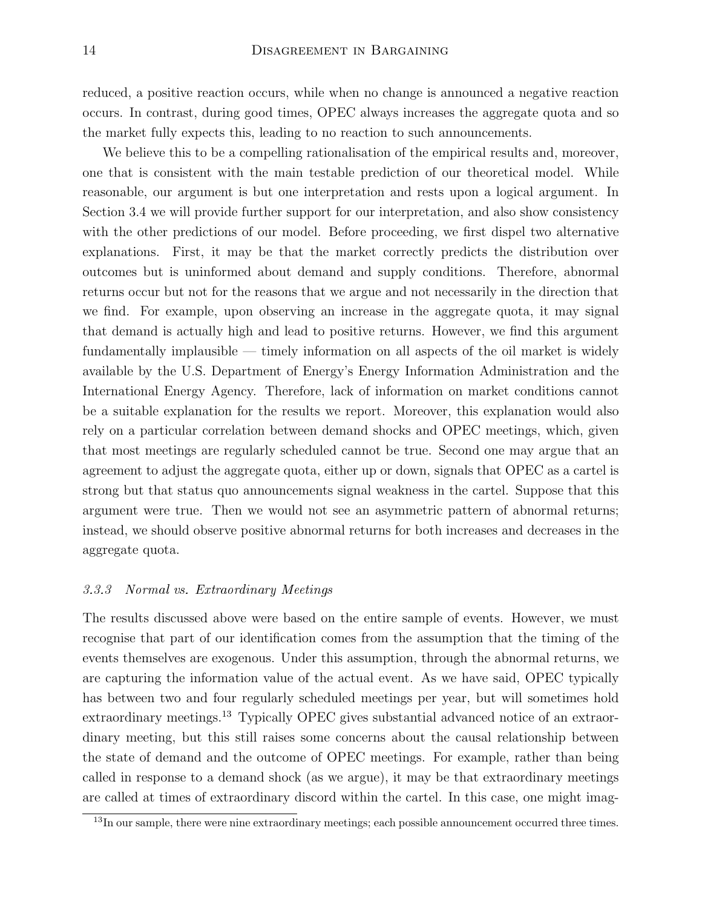reduced, a positive reaction occurs, while when no change is announced a negative reaction occurs. In contrast, during good times, OPEC always increases the aggregate quota and so the market fully expects this, leading to no reaction to such announcements.

We believe this to be a compelling rationalisation of the empirical results and, moreover, one that is consistent with the main testable prediction of our theoretical model. While reasonable, our argument is but one interpretation and rests upon a logical argument. In Section 3.4 we will provide further support for our interpretation, and also show consistency with the other predictions of our model. Before proceeding, we first dispel two alternative explanations. First, it may be that the market correctly predicts the distribution over outcomes but is uninformed about demand and supply conditions. Therefore, abnormal returns occur but not for the reasons that we argue and not necessarily in the direction that we find. For example, upon observing an increase in the aggregate quota, it may signal that demand is actually high and lead to positive returns. However, we find this argument fundamentally implausible — timely information on all aspects of the oil market is widely available by the U.S. Department of Energy's Energy Information Administration and the International Energy Agency. Therefore, lack of information on market conditions cannot be a suitable explanation for the results we report. Moreover, this explanation would also rely on a particular correlation between demand shocks and OPEC meetings, which, given that most meetings are regularly scheduled cannot be true. Second one may argue that an agreement to adjust the aggregate quota, either up or down, signals that OPEC as a cartel is strong but that status quo announcements signal weakness in the cartel. Suppose that this argument were true. Then we would not see an asymmetric pattern of abnormal returns; instead, we should observe positive abnormal returns for both increases and decreases in the aggregate quota.

#### 3.3.3 Normal vs. Extraordinary Meetings

The results discussed above were based on the entire sample of events. However, we must recognise that part of our identification comes from the assumption that the timing of the events themselves are exogenous. Under this assumption, through the abnormal returns, we are capturing the information value of the actual event. As we have said, OPEC typically has between two and four regularly scheduled meetings per year, but will sometimes hold extraordinary meetings.<sup>13</sup> Typically OPEC gives substantial advanced notice of an extraordinary meeting, but this still raises some concerns about the causal relationship between the state of demand and the outcome of OPEC meetings. For example, rather than being called in response to a demand shock (as we argue), it may be that extraordinary meetings are called at times of extraordinary discord within the cartel. In this case, one might imag-

<sup>&</sup>lt;sup>13</sup>In our sample, there were nine extraordinary meetings; each possible announcement occurred three times.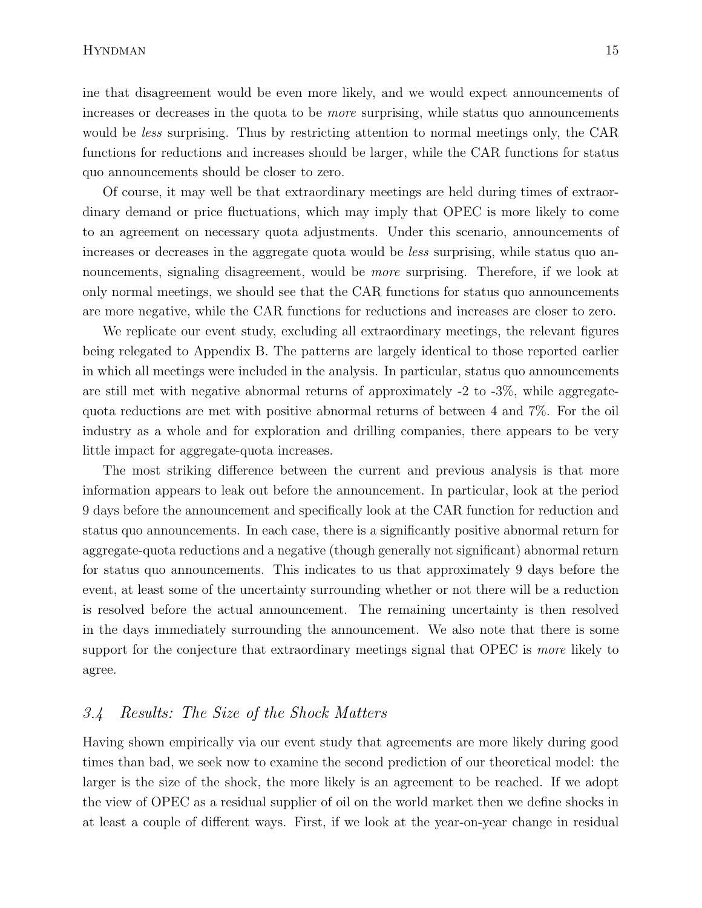ine that disagreement would be even more likely, and we would expect announcements of increases or decreases in the quota to be more surprising, while status quo announcements would be *less* surprising. Thus by restricting attention to normal meetings only, the CAR functions for reductions and increases should be larger, while the CAR functions for status quo announcements should be closer to zero.

Of course, it may well be that extraordinary meetings are held during times of extraordinary demand or price fluctuations, which may imply that OPEC is more likely to come to an agreement on necessary quota adjustments. Under this scenario, announcements of increases or decreases in the aggregate quota would be less surprising, while status quo announcements, signaling disagreement, would be *more* surprising. Therefore, if we look at only normal meetings, we should see that the CAR functions for status quo announcements are more negative, while the CAR functions for reductions and increases are closer to zero.

We replicate our event study, excluding all extraordinary meetings, the relevant figures being relegated to Appendix B. The patterns are largely identical to those reported earlier in which all meetings were included in the analysis. In particular, status quo announcements are still met with negative abnormal returns of approximately -2 to -3%, while aggregatequota reductions are met with positive abnormal returns of between 4 and 7%. For the oil industry as a whole and for exploration and drilling companies, there appears to be very little impact for aggregate-quota increases.

The most striking difference between the current and previous analysis is that more information appears to leak out before the announcement. In particular, look at the period 9 days before the announcement and specifically look at the CAR function for reduction and status quo announcements. In each case, there is a significantly positive abnormal return for aggregate-quota reductions and a negative (though generally not significant) abnormal return for status quo announcements. This indicates to us that approximately 9 days before the event, at least some of the uncertainty surrounding whether or not there will be a reduction is resolved before the actual announcement. The remaining uncertainty is then resolved in the days immediately surrounding the announcement. We also note that there is some support for the conjecture that extraordinary meetings signal that OPEC is more likely to agree.

### 3.4 Results: The Size of the Shock Matters

Having shown empirically via our event study that agreements are more likely during good times than bad, we seek now to examine the second prediction of our theoretical model: the larger is the size of the shock, the more likely is an agreement to be reached. If we adopt the view of OPEC as a residual supplier of oil on the world market then we define shocks in at least a couple of different ways. First, if we look at the year-on-year change in residual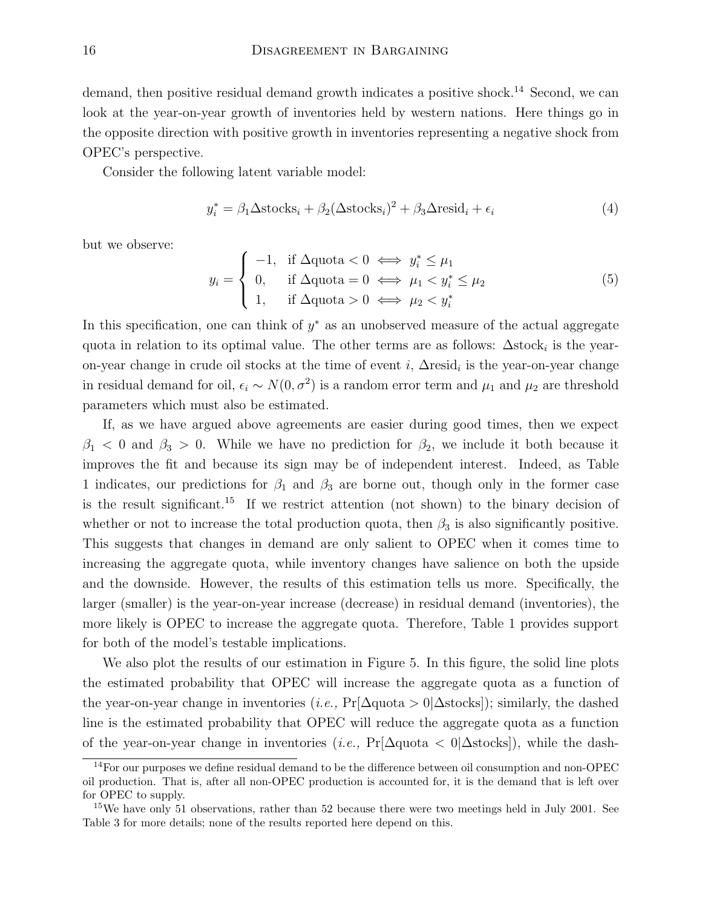demand, then positive residual demand growth indicates a positive shock.<sup>14</sup> Second, we can look at the year-on-year growth of inventories held by western nations. Here things go in the opposite direction with positive growth in inventories representing a negative shock from OPEC's perspective.

Consider the following latent variable model:

$$
y_i^* = \beta_1 \Delta \text{stocks}_i + \beta_2 (\Delta \text{stocks}_i)^2 + \beta_3 \Delta \text{resid}_i + \epsilon_i \tag{4}
$$

but we observe:

$$
y_i = \begin{cases} -1, & \text{if } \Delta \text{quot} = 0 \iff y_i^* \le \mu_1 \\ 0, & \text{if } \Delta \text{quot} = 0 \iff \mu_1 < y_i^* \le \mu_2 \\ 1, & \text{if } \Delta \text{quot} = 0 \iff \mu_2 < y_i^* \end{cases} \tag{5}
$$

In this specification, one can think of  $y^*$  as an unobserved measure of the actual aggregate quota in relation to its optimal value. The other terms are as follows:  $\Delta \text{stock}_i$  is the yearon-year change in crude oil stocks at the time of event i,  $\Delta$ resid<sub>i</sub> is the year-on-year change in residual demand for oil,  $\epsilon_i \sim N(0, \sigma^2)$  is a random error term and  $\mu_1$  and  $\mu_2$  are threshold parameters which must also be estimated.

If, as we have argued above agreements are easier during good times, then we expect  $\beta_1$  < 0 and  $\beta_3$  > 0. While we have no prediction for  $\beta_2$ , we include it both because it improves the fit and because its sign may be of independent interest. Indeed, as Table 1 indicates, our predictions for  $\beta_1$  and  $\beta_3$  are borne out, though only in the former case is the result significant.<sup>15</sup> If we restrict attention (not shown) to the binary decision of whether or not to increase the total production quota, then  $\beta_3$  is also significantly positive. This suggests that changes in demand are only salient to OPEC when it comes time to increasing the aggregate quota, while inventory changes have salience on both the upside and the downside. However, the results of this estimation tells us more. Specifically, the larger (smaller) is the year-on-year increase (decrease) in residual demand (inventories), the more likely is OPEC to increase the aggregate quota. Therefore, Table 1 provides support for both of the model's testable implications.

We also plot the results of our estimation in Figure 5. In this figure, the solid line plots the estimated probability that OPEC will increase the aggregate quota as a function of the year-on-year change in inventories (*i.e.*, Pr[ $\Delta$ quota > 0| $\Delta$ stocks]); similarly, the dashed line is the estimated probability that OPEC will reduce the aggregate quota as a function of the year-on-year change in inventories (*i.e.*, Pr[ $\Delta$ quota < 0| $\Delta$ stocks]), while the dash-

<sup>14</sup>For our purposes we define residual demand to be the difference between oil consumption and non-OPEC oil production. That is, after all non-OPEC production is accounted for, it is the demand that is left over for OPEC to supply.

<sup>&</sup>lt;sup>15</sup>We have only 51 observations, rather than 52 because there were two meetings held in July 2001. See Table 3 for more details; none of the results reported here depend on this.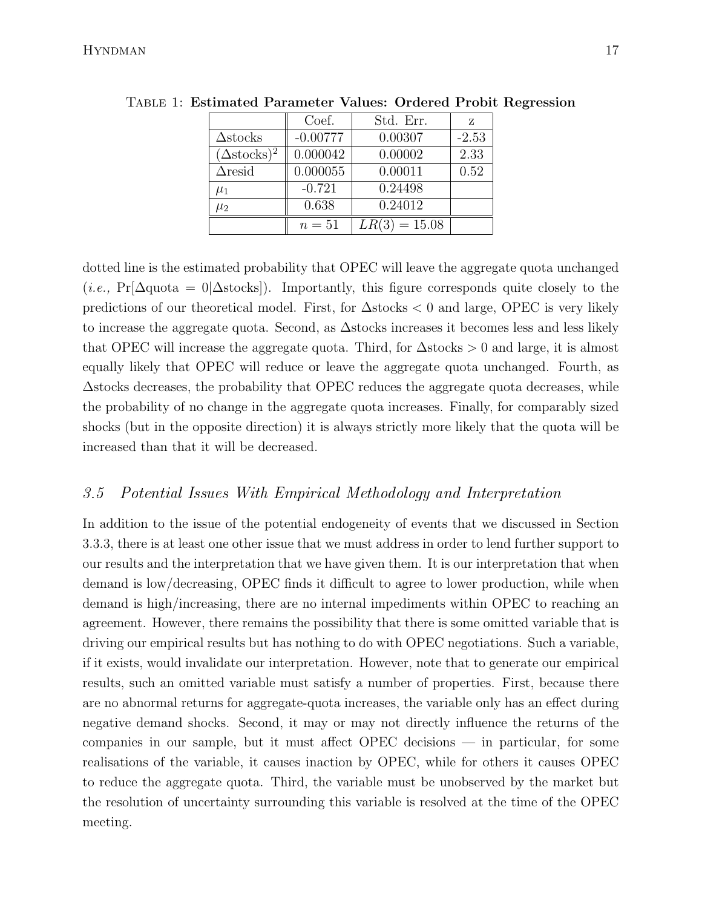|                              | Coef.      | Std. Err.                  | z       |
|------------------------------|------------|----------------------------|---------|
| $\Delta\text{stocks}$        | $-0.00777$ | 0.00307                    | $-2.53$ |
| $(\Delta \mathrm{stocks})^2$ | 0.000042   | 0.00002                    | 2.33    |
| $\triangle$ resid            | 0.000055   | 0.00011                    | 0.52    |
| $\mu_1$                      | $-0.721$   | 0.24498                    |         |
| $\mu_2$                      | 0.638      | 0.24012                    |         |
|                              | $n=51$     | $\overline{L}R(3) = 15.08$ |         |

Table 1: Estimated Parameter Values: Ordered Probit Regression

dotted line is the estimated probability that OPEC will leave the aggregate quota unchanged (*i.e.*, Pr[ $\Delta$ quota = 0| $\Delta$ stocks]). Importantly, this figure corresponds quite closely to the predictions of our theoretical model. First, for ∆stocks < 0 and large, OPEC is very likely to increase the aggregate quota. Second, as ∆stocks increases it becomes less and less likely that OPEC will increase the aggregate quota. Third, for  $\Delta$ stocks > 0 and large, it is almost equally likely that OPEC will reduce or leave the aggregate quota unchanged. Fourth, as ∆stocks decreases, the probability that OPEC reduces the aggregate quota decreases, while the probability of no change in the aggregate quota increases. Finally, for comparably sized shocks (but in the opposite direction) it is always strictly more likely that the quota will be increased than that it will be decreased.

#### 3.5 Potential Issues With Empirical Methodology and Interpretation

In addition to the issue of the potential endogeneity of events that we discussed in Section 3.3.3, there is at least one other issue that we must address in order to lend further support to our results and the interpretation that we have given them. It is our interpretation that when demand is low/decreasing, OPEC finds it difficult to agree to lower production, while when demand is high/increasing, there are no internal impediments within OPEC to reaching an agreement. However, there remains the possibility that there is some omitted variable that is driving our empirical results but has nothing to do with OPEC negotiations. Such a variable, if it exists, would invalidate our interpretation. However, note that to generate our empirical results, such an omitted variable must satisfy a number of properties. First, because there are no abnormal returns for aggregate-quota increases, the variable only has an effect during negative demand shocks. Second, it may or may not directly influence the returns of the companies in our sample, but it must affect OPEC decisions — in particular, for some realisations of the variable, it causes inaction by OPEC, while for others it causes OPEC to reduce the aggregate quota. Third, the variable must be unobserved by the market but the resolution of uncertainty surrounding this variable is resolved at the time of the OPEC meeting.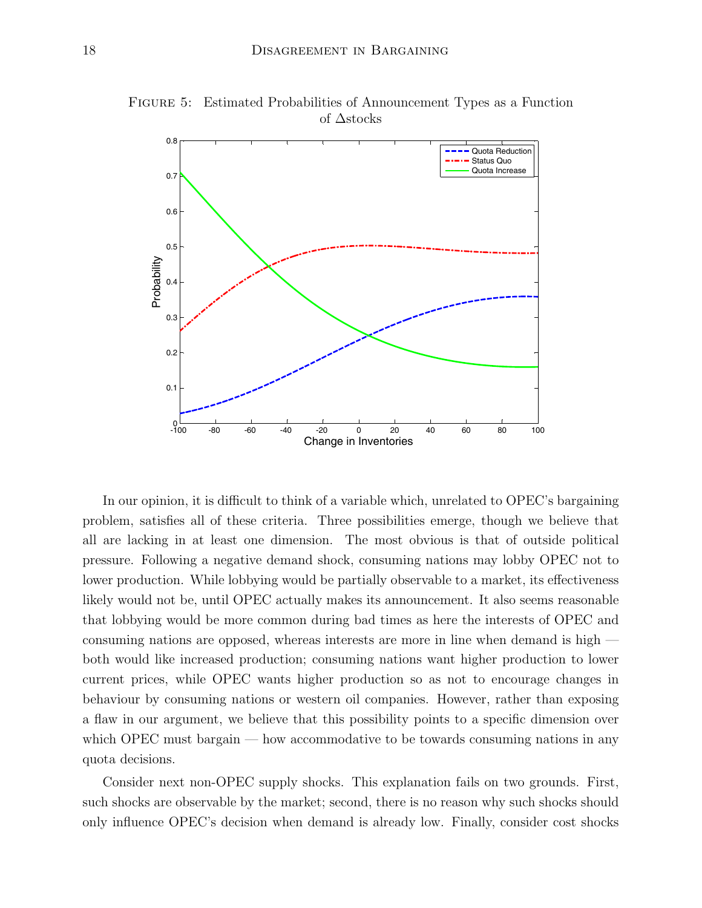



In our opinion, it is difficult to think of a variable which, unrelated to OPEC's bargaining problem, satisfies all of these criteria. Three possibilities emerge, though we believe that all are lacking in at least one dimension. The most obvious is that of outside political pressure. Following a negative demand shock, consuming nations may lobby OPEC not to lower production. While lobbying would be partially observable to a market, its effectiveness likely would not be, until OPEC actually makes its announcement. It also seems reasonable that lobbying would be more common during bad times as here the interests of OPEC and consuming nations are opposed, whereas interests are more in line when demand is high both would like increased production; consuming nations want higher production to lower current prices, while OPEC wants higher production so as not to encourage changes in behaviour by consuming nations or western oil companies. However, rather than exposing a flaw in our argument, we believe that this possibility points to a specific dimension over which OPEC must bargain — how accommodative to be towards consuming nations in any quota decisions.

Consider next non-OPEC supply shocks. This explanation fails on two grounds. First, such shocks are observable by the market; second, there is no reason why such shocks should only influence OPEC's decision when demand is already low. Finally, consider cost shocks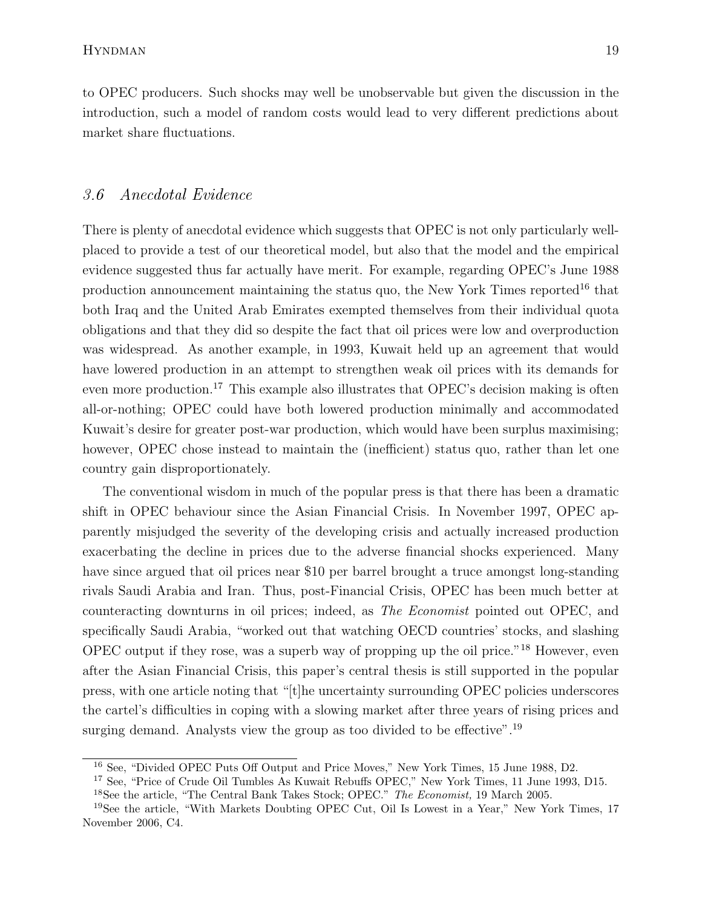to OPEC producers. Such shocks may well be unobservable but given the discussion in the introduction, such a model of random costs would lead to very different predictions about market share fluctuations.

#### 3.6 Anecdotal Evidence

There is plenty of anecdotal evidence which suggests that OPEC is not only particularly wellplaced to provide a test of our theoretical model, but also that the model and the empirical evidence suggested thus far actually have merit. For example, regarding OPEC's June 1988 production announcement maintaining the status quo, the New York Times reported<sup>16</sup> that both Iraq and the United Arab Emirates exempted themselves from their individual quota obligations and that they did so despite the fact that oil prices were low and overproduction was widespread. As another example, in 1993, Kuwait held up an agreement that would have lowered production in an attempt to strengthen weak oil prices with its demands for even more production.<sup>17</sup> This example also illustrates that OPEC's decision making is often all-or-nothing; OPEC could have both lowered production minimally and accommodated Kuwait's desire for greater post-war production, which would have been surplus maximising; however, OPEC chose instead to maintain the (inefficient) status quo, rather than let one country gain disproportionately.

The conventional wisdom in much of the popular press is that there has been a dramatic shift in OPEC behaviour since the Asian Financial Crisis. In November 1997, OPEC apparently misjudged the severity of the developing crisis and actually increased production exacerbating the decline in prices due to the adverse financial shocks experienced. Many have since argued that oil prices near \$10 per barrel brought a truce amongst long-standing rivals Saudi Arabia and Iran. Thus, post-Financial Crisis, OPEC has been much better at counteracting downturns in oil prices; indeed, as The Economist pointed out OPEC, and specifically Saudi Arabia, "worked out that watching OECD countries' stocks, and slashing OPEC output if they rose, was a superb way of propping up the oil price."<sup>18</sup> However, even after the Asian Financial Crisis, this paper's central thesis is still supported in the popular press, with one article noting that "[t]he uncertainty surrounding OPEC policies underscores the cartel's difficulties in coping with a slowing market after three years of rising prices and surging demand. Analysts view the group as too divided to be effective".<sup>19</sup>

<sup>16</sup> See, "Divided OPEC Puts Off Output and Price Moves," New York Times, 15 June 1988, D2.

<sup>&</sup>lt;sup>17</sup> See. "Price of Crude Oil Tumbles As Kuwait Rebuffs OPEC," New York Times, 11 June 1993, D15. <sup>18</sup>See the article, "The Central Bank Takes Stock; OPEC." The Economist, 19 March 2005.

<sup>19</sup>See the article, "With Markets Doubting OPEC Cut, Oil Is Lowest in a Year," New York Times, 17 November 2006, C4.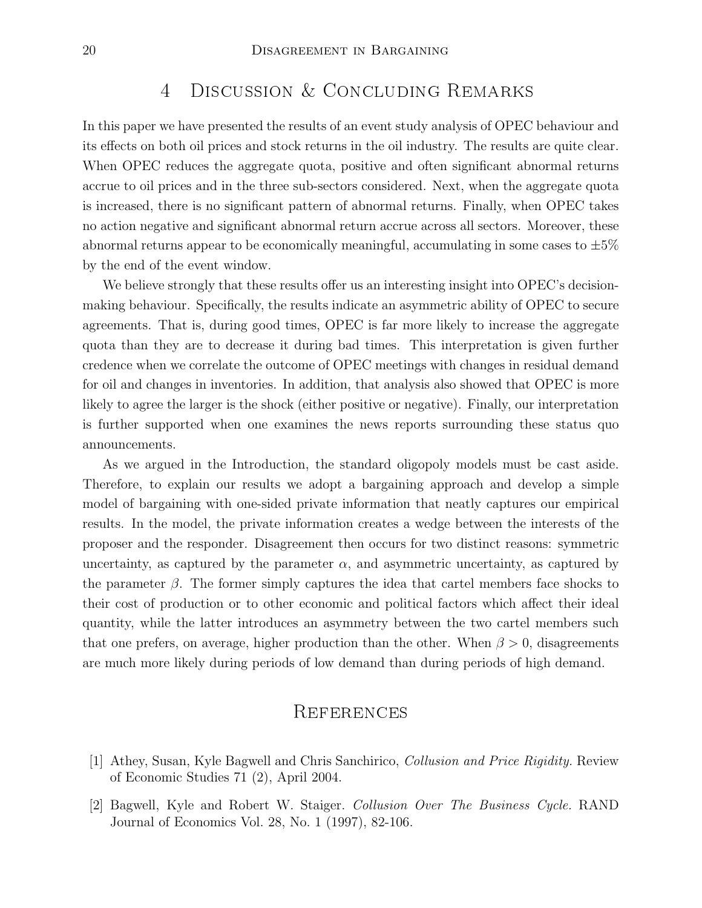# 4 Discussion & Concluding Remarks

In this paper we have presented the results of an event study analysis of OPEC behaviour and its effects on both oil prices and stock returns in the oil industry. The results are quite clear. When OPEC reduces the aggregate quota, positive and often significant abnormal returns accrue to oil prices and in the three sub-sectors considered. Next, when the aggregate quota is increased, there is no significant pattern of abnormal returns. Finally, when OPEC takes no action negative and significant abnormal return accrue across all sectors. Moreover, these abnormal returns appear to be economically meaningful, accumulating in some cases to  $\pm 5\%$ by the end of the event window.

We believe strongly that these results offer us an interesting insight into OPEC's decisionmaking behaviour. Specifically, the results indicate an asymmetric ability of OPEC to secure agreements. That is, during good times, OPEC is far more likely to increase the aggregate quota than they are to decrease it during bad times. This interpretation is given further credence when we correlate the outcome of OPEC meetings with changes in residual demand for oil and changes in inventories. In addition, that analysis also showed that OPEC is more likely to agree the larger is the shock (either positive or negative). Finally, our interpretation is further supported when one examines the news reports surrounding these status quo announcements.

As we argued in the Introduction, the standard oligopoly models must be cast aside. Therefore, to explain our results we adopt a bargaining approach and develop a simple model of bargaining with one-sided private information that neatly captures our empirical results. In the model, the private information creates a wedge between the interests of the proposer and the responder. Disagreement then occurs for two distinct reasons: symmetric uncertainty, as captured by the parameter  $\alpha$ , and asymmetric uncertainty, as captured by the parameter  $\beta$ . The former simply captures the idea that cartel members face shocks to their cost of production or to other economic and political factors which affect their ideal quantity, while the latter introduces an asymmetry between the two cartel members such that one prefers, on average, higher production than the other. When  $\beta > 0$ , disagreements are much more likely during periods of low demand than during periods of high demand.

# **REFERENCES**

- [1] Athey, Susan, Kyle Bagwell and Chris Sanchirico, Collusion and Price Rigidity. Review of Economic Studies 71 (2), April 2004.
- [2] Bagwell, Kyle and Robert W. Staiger. Collusion Over The Business Cycle. RAND Journal of Economics Vol. 28, No. 1 (1997), 82-106.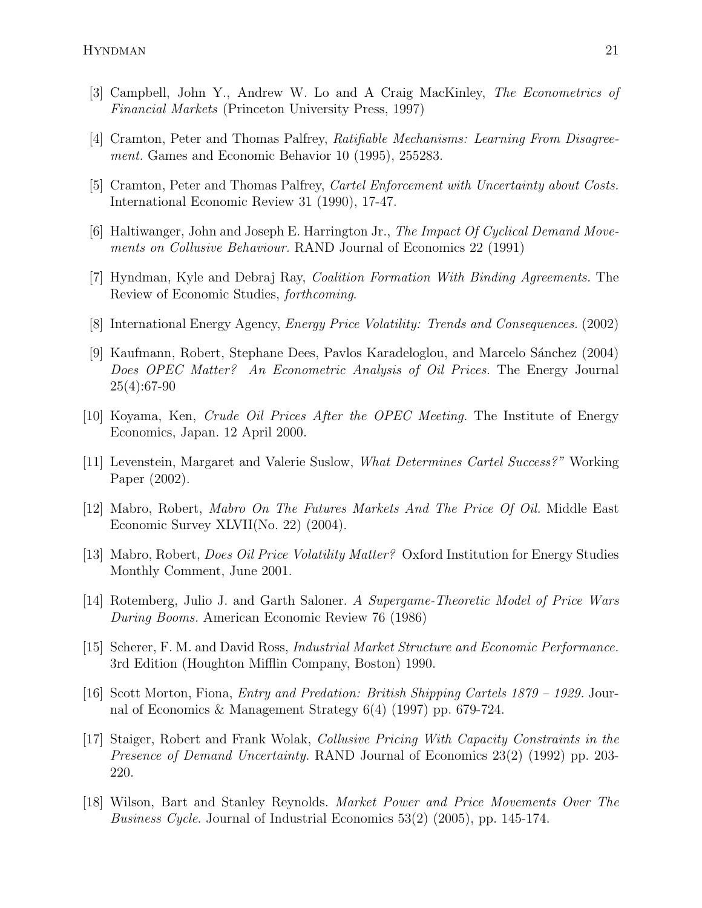- [3] Campbell, John Y., Andrew W. Lo and A Craig MacKinley, The Econometrics of Financial Markets (Princeton University Press, 1997)
- [4] Cramton, Peter and Thomas Palfrey, Ratifiable Mechanisms: Learning From Disagreement. Games and Economic Behavior 10 (1995), 255283.
- [5] Cramton, Peter and Thomas Palfrey, Cartel Enforcement with Uncertainty about Costs. International Economic Review 31 (1990), 17-47.
- [6] Haltiwanger, John and Joseph E. Harrington Jr., The Impact Of Cyclical Demand Movements on Collusive Behaviour. RAND Journal of Economics 22 (1991)
- [7] Hyndman, Kyle and Debraj Ray, Coalition Formation With Binding Agreements. The Review of Economic Studies, forthcoming.
- [8] International Energy Agency, Energy Price Volatility: Trends and Consequences. (2002)
- [9] Kaufmann, Robert, Stephane Dees, Pavlos Karadeloglou, and Marcelo Sánchez (2004) Does OPEC Matter? An Econometric Analysis of Oil Prices. The Energy Journal 25(4):67-90
- [10] Koyama, Ken, Crude Oil Prices After the OPEC Meeting. The Institute of Energy Economics, Japan. 12 April 2000.
- [11] Levenstein, Margaret and Valerie Suslow, What Determines Cartel Success?" Working Paper (2002).
- [12] Mabro, Robert, Mabro On The Futures Markets And The Price Of Oil. Middle East Economic Survey XLVII(No. 22) (2004).
- [13] Mabro, Robert, Does Oil Price Volatility Matter? Oxford Institution for Energy Studies Monthly Comment, June 2001.
- [14] Rotemberg, Julio J. and Garth Saloner. A Supergame-Theoretic Model of Price Wars During Booms. American Economic Review 76 (1986)
- [15] Scherer, F. M. and David Ross, Industrial Market Structure and Economic Performance. 3rd Edition (Houghton Mifflin Company, Boston) 1990.
- [16] Scott Morton, Fiona, Entry and Predation: British Shipping Cartels 1879 1929. Journal of Economics & Management Strategy 6(4) (1997) pp. 679-724.
- [17] Staiger, Robert and Frank Wolak, Collusive Pricing With Capacity Constraints in the Presence of Demand Uncertainty. RAND Journal of Economics 23(2) (1992) pp. 203- 220.
- [18] Wilson, Bart and Stanley Reynolds. Market Power and Price Movements Over The Business Cycle. Journal of Industrial Economics 53(2) (2005), pp. 145-174.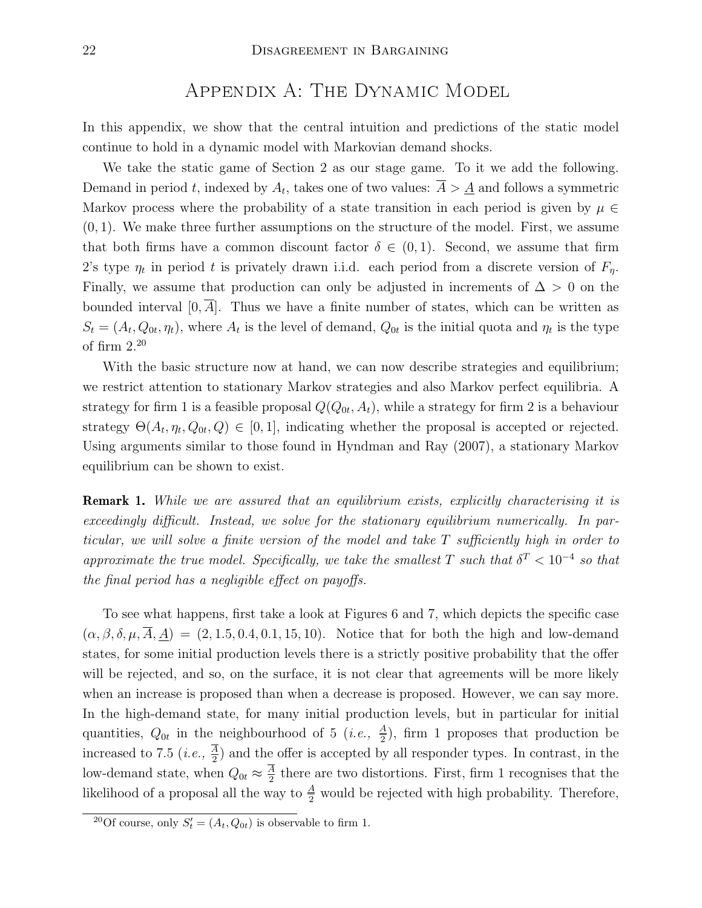# Appendix A: The Dynamic Model

In this appendix, we show that the central intuition and predictions of the static model continue to hold in a dynamic model with Markovian demand shocks.

We take the static game of Section 2 as our stage game. To it we add the following. Demand in period t, indexed by  $A_t$ , takes one of two values:  $A > \underline{A}$  and follows a symmetric Markov process where the probability of a state transition in each period is given by  $\mu \in$  $(0, 1)$ . We make three further assumptions on the structure of the model. First, we assume that both firms have a common discount factor  $\delta \in (0,1)$ . Second, we assume that firm 2's type  $\eta_t$  in period t is privately drawn i.i.d. each period from a discrete version of  $F_{\eta}$ . Finally, we assume that production can only be adjusted in increments of  $\Delta > 0$  on the bounded interval  $[0, A]$ . Thus we have a finite number of states, which can be written as  $S_t = (A_t, Q_{0t}, \eta_t)$ , where  $A_t$  is the level of demand,  $Q_{0t}$  is the initial quota and  $\eta_t$  is the type of firm 2.<sup>20</sup>

With the basic structure now at hand, we can now describe strategies and equilibrium; we restrict attention to stationary Markov strategies and also Markov perfect equilibria. A strategy for firm 1 is a feasible proposal  $Q(Q_{0t}, A_t)$ , while a strategy for firm 2 is a behaviour strategy  $\Theta(A_t, \eta_t, Q_{0t}, Q) \in [0, 1]$ , indicating whether the proposal is accepted or rejected. Using arguments similar to those found in Hyndman and Ray (2007), a stationary Markov equilibrium can be shown to exist.

**Remark 1.** While we are assured that an equilibrium exists, explicitly characterising it is exceedingly difficult. Instead, we solve for the stationary equilibrium numerically. In particular, we will solve a finite version of the model and take T sufficiently high in order to approximate the true model. Specifically, we take the smallest T such that  $\delta^T < 10^{-4}$  so that the final period has a negligible effect on payoffs.

To see what happens, first take a look at Figures 6 and 7, which depicts the specific case  $(\alpha, \beta, \delta, \mu, \overline{A}, \underline{A}) = (2, 1.5, 0.4, 0.1, 15, 10)$ . Notice that for both the high and low-demand states, for some initial production levels there is a strictly positive probability that the offer will be rejected, and so, on the surface, it is not clear that agreements will be more likely when an increase is proposed than when a decrease is proposed. However, we can say more. In the high-demand state, for many initial production levels, but in particular for initial quantities,  $Q_{0t}$  in the neighbourhood of 5 (*i.e.*,  $\frac{A}{2}$ ), firm 1 proposes that production be increased to 7.5 (*i.e.*,  $\frac{A}{2}$ ) and the offer is accepted by all responder types. In contrast, in the low-demand state, when  $Q_{0t} \approx \frac{A}{2}$  $\frac{A}{2}$  there are two distortions. First, firm 1 recognises that the likelihood of a proposal all the way to  $\frac{A}{2}$  would be rejected with high probability. Therefore,

<sup>&</sup>lt;sup>20</sup>Of course, only  $S'_t = (A_t, Q_{0t})$  is observable to firm 1.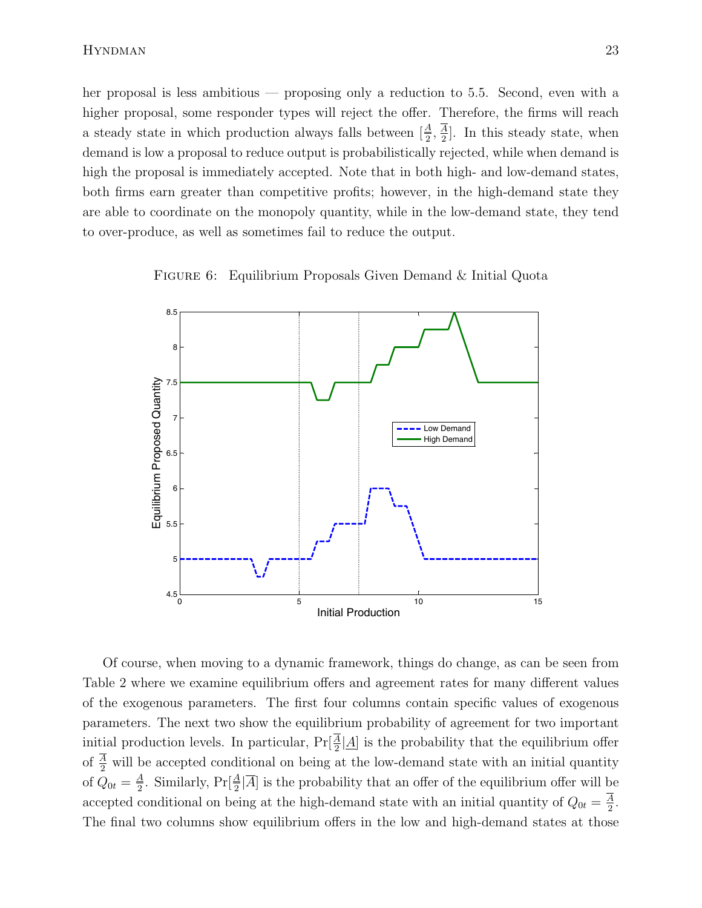her proposal is less ambitious — proposing only a reduction to 5.5. Second, even with a higher proposal, some responder types will reject the offer. Therefore, the firms will reach a steady state in which production always falls between  $\left[\frac{A}{2}, \frac{\overline{A}}{2}\right]$  $\frac{A}{2}$ . In this steady state, when demand is low a proposal to reduce output is probabilistically rejected, while when demand is high the proposal is immediately accepted. Note that in both high- and low-demand states, both firms earn greater than competitive profits; however, in the high-demand state they are able to coordinate on the monopoly quantity, while in the low-demand state, they tend to over-produce, as well as sometimes fail to reduce the output.

FIGURE 6: Equilibrium Proposals Given Demand & Initial Quota



Of course, when moving to a dynamic framework, things do change, as can be seen from Table 2 where we examine equilibrium offers and agreement rates for many different values of the exogenous parameters. The first four columns contain specific values of exogenous parameters. The next two show the equilibrium probability of agreement for two important initial production levels. In particular,  $Pr[\frac{A}{2}|\underline{A}]$  is the probability that the equilibrium offer of  $\frac{A}{2}$  will be accepted conditional on being at the low-demand state with an initial quantity of  $Q_{0t} = \frac{A}{2}$  $\frac{4}{2}$ . Similarly,  $Pr[\frac{4}{2}|\overline{A}]$  is the probability that an offer of the equilibrium offer will be accepted conditional on being at the high-demand state with an initial quantity of  $Q_{0t} = \frac{A}{2}$  $\frac{A}{2}$ . The final two columns show equilibrium offers in the low and high-demand states at those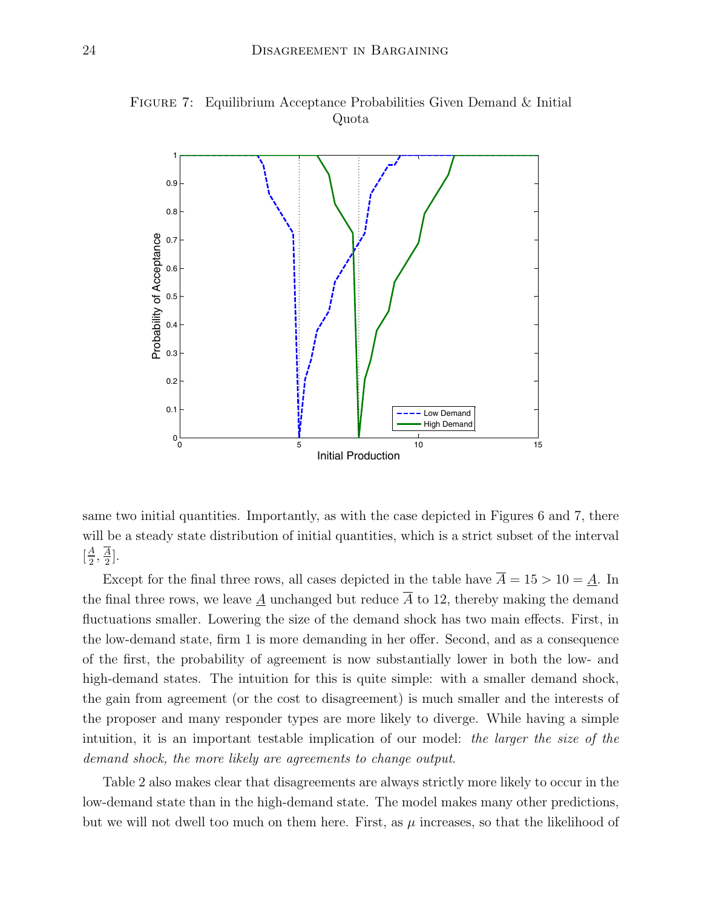



same two initial quantities. Importantly, as with the case depicted in Figures 6 and 7, there will be a steady state distribution of initial quantities, which is a strict subset of the interval  $\frac{A}{2}$  $\frac{A}{2}$ ,  $\frac{A}{2}$  $\frac{A}{2}$ .

Except for the final three rows, all cases depicted in the table have  $\overline{A} = 15 > 10 = \underline{A}$ . In the final three rows, we leave A unchanged but reduce  $\overline{A}$  to 12, thereby making the demand fluctuations smaller. Lowering the size of the demand shock has two main effects. First, in the low-demand state, firm 1 is more demanding in her offer. Second, and as a consequence of the first, the probability of agreement is now substantially lower in both the low- and high-demand states. The intuition for this is quite simple: with a smaller demand shock, the gain from agreement (or the cost to disagreement) is much smaller and the interests of the proposer and many responder types are more likely to diverge. While having a simple intuition, it is an important testable implication of our model: the larger the size of the demand shock, the more likely are agreements to change output.

Table 2 also makes clear that disagreements are always strictly more likely to occur in the low-demand state than in the high-demand state. The model makes many other predictions, but we will not dwell too much on them here. First, as  $\mu$  increases, so that the likelihood of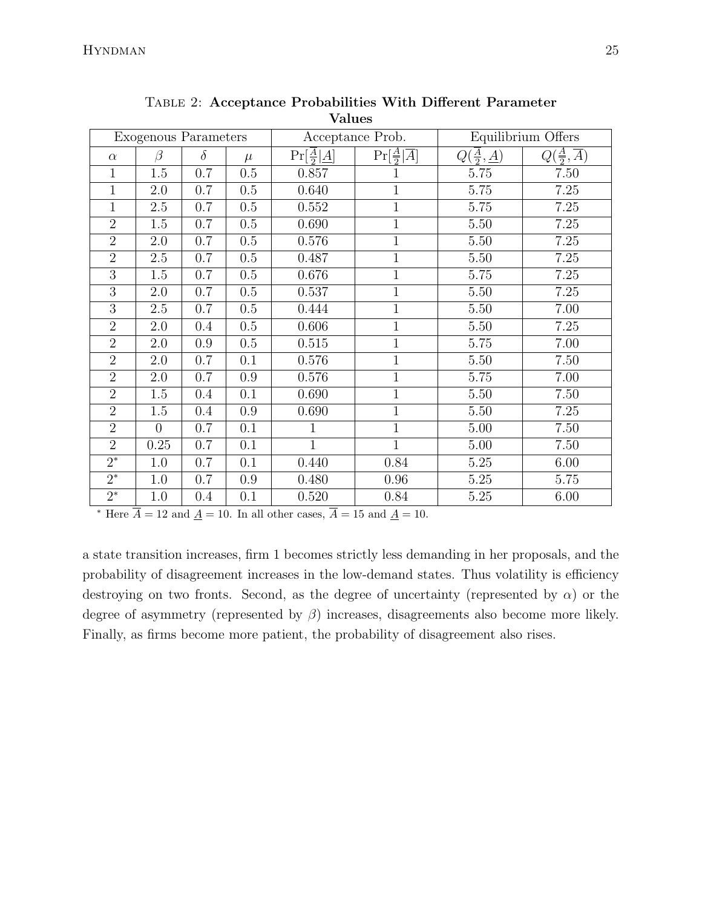| <b>Exogenous Parameters</b> |                |          | Acceptance Prob. |                                 | Equilibrium Offers              |                                 |                               |
|-----------------------------|----------------|----------|------------------|---------------------------------|---------------------------------|---------------------------------|-------------------------------|
| $\alpha$                    | β              | $\delta$ | $\mu$            | $Pr[\frac{A}{2} \underline{A}]$ | $\Pr[\frac{A}{2} \overline{A}]$ | $Q(\frac{A}{2}, \underline{A})$ | $Q(\frac{A}{2},\overline{A})$ |
| 1                           | 1.5            | 0.7      | 0.5              | 0.857                           |                                 | 5.75                            | 7.50                          |
| $\mathbf{1}$                | $2.0\,$        | 0.7      | 0.5              | 0.640                           | $\mathbf 1$                     | 5.75                            | 7.25                          |
| 1                           | 2.5            | 0.7      | 0.5              | 0.552                           | $\mathbf 1$                     | 5.75                            | $7.25\,$                      |
| $\overline{2}$              | 1.5            | 0.7      | 0.5              | 0.690                           | 1                               | 5.50                            | 7.25                          |
| $\overline{2}$              | $2.0\,$        | 0.7      | 0.5              | 0.576                           | $\mathbf 1$                     | $5.50\,$                        | 7.25                          |
| $\overline{2}$              | 2.5            | 0.7      | 0.5              | 0.487                           | $\mathbf 1$                     | 5.50                            | $7.25\,$                      |
| 3                           | 1.5            | 0.7      | 0.5              | 0.676                           | 1                               | 5.75                            | 7.25                          |
| 3                           | $2.0\,$        | 0.7      | 0.5              | 0.537                           | $\mathbf 1$                     | 5.50                            | 7.25                          |
| $\overline{3}$              | 2.5            | 0.7      | 0.5              | 0.444                           | $\mathbf 1$                     | 5.50                            | 7.00                          |
| $\overline{2}$              | 2.0            | 0.4      | 0.5              | 0.606                           | 1                               | 5.50                            | 7.25                          |
| $\overline{2}$              | $2.0\,$        | 0.9      | 0.5              | 0.515                           | $\mathbf 1$                     | 5.75                            | 7.00                          |
| $\overline{2}$              | $2.0\,$        | 0.7      | 0.1              | 0.576                           | $\mathbf 1$                     | 5.50                            | 7.50                          |
| $\overline{2}$              | $2.0\,$        | 0.7      | 0.9              | 0.576                           | $\mathbf{1}$                    | 5.75                            | 7.00                          |
| $\overline{2}$              | 1.5            | 0.4      | 0.1              | 0.690                           | $\mathbf 1$                     | 5.50                            | 7.50                          |
| $\overline{2}$              | 1.5            | 0.4      | 0.9              | 0.690                           | $\mathbf 1$                     | 5.50                            | 7.25                          |
| $\overline{2}$              | $\overline{0}$ | 0.7      | 0.1              |                                 | 1                               | 5.00                            | 7.50                          |
| $\overline{2}$              | 0.25           | 0.7      | 0.1              | $\mathbf{1}$                    | 1                               | 5.00                            | 7.50                          |
| $\overline{2^*}$            | 1.0            | 0.7      | 0.1              | 0.440                           | 0.84                            | $5.25\,$                        | 6.00                          |
| $2^*$                       | 1.0            | 0.7      | 0.9              | 0.480                           | 0.96                            | $5.25\,$                        | 5.75                          |
| $2^*$                       | 1.0            | 0.4      | 0.1              | 0.520                           | 0.84                            | 5.25                            | 6.00                          |

Table 2: Acceptance Probabilities With Different Parameter Values

\* Here  $A = 12$  and  $A = 10$ . In all other cases,  $A = 15$  and  $A = 10$ .

a state transition increases, firm 1 becomes strictly less demanding in her proposals, and the probability of disagreement increases in the low-demand states. Thus volatility is efficiency destroying on two fronts. Second, as the degree of uncertainty (represented by  $\alpha$ ) or the degree of asymmetry (represented by  $\beta$ ) increases, disagreements also become more likely. Finally, as firms become more patient, the probability of disagreement also rises.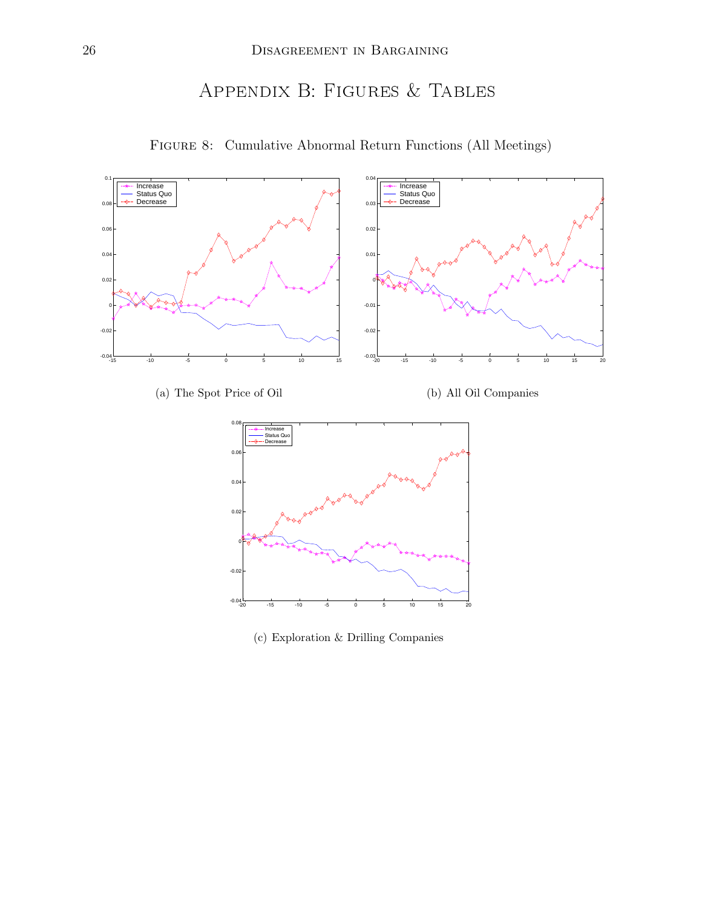# Appendix B: Figures & Tables



Figure 8: Cumulative Abnormal Return Functions (All Meetings)

(c) Exploration & Drilling Companies

 $-0.04$ 

-20 -15 -10 -5 0 5 10 15 20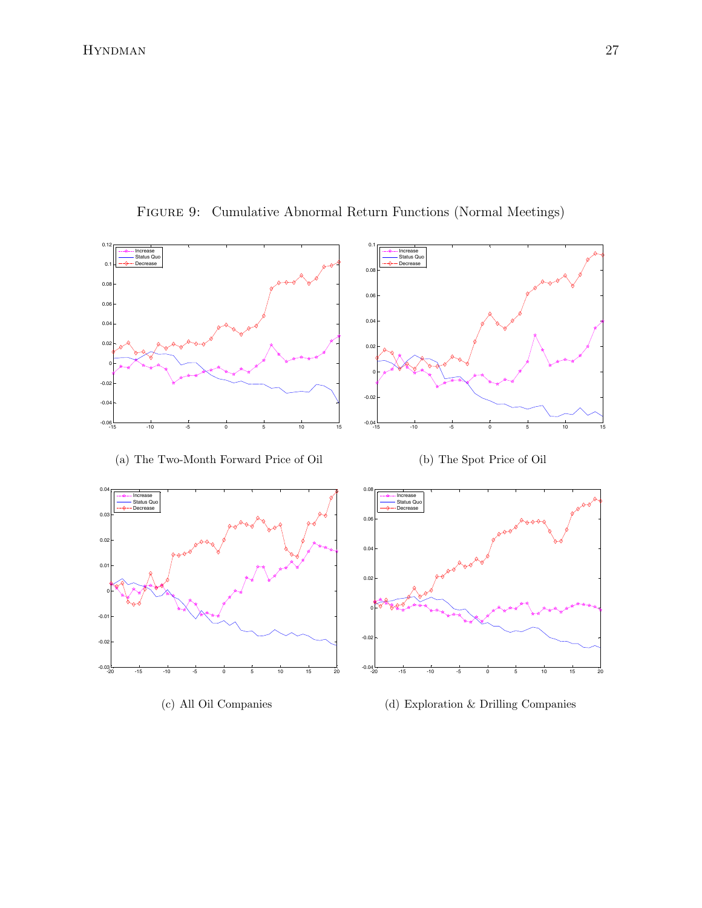



(c) All Oil Companies

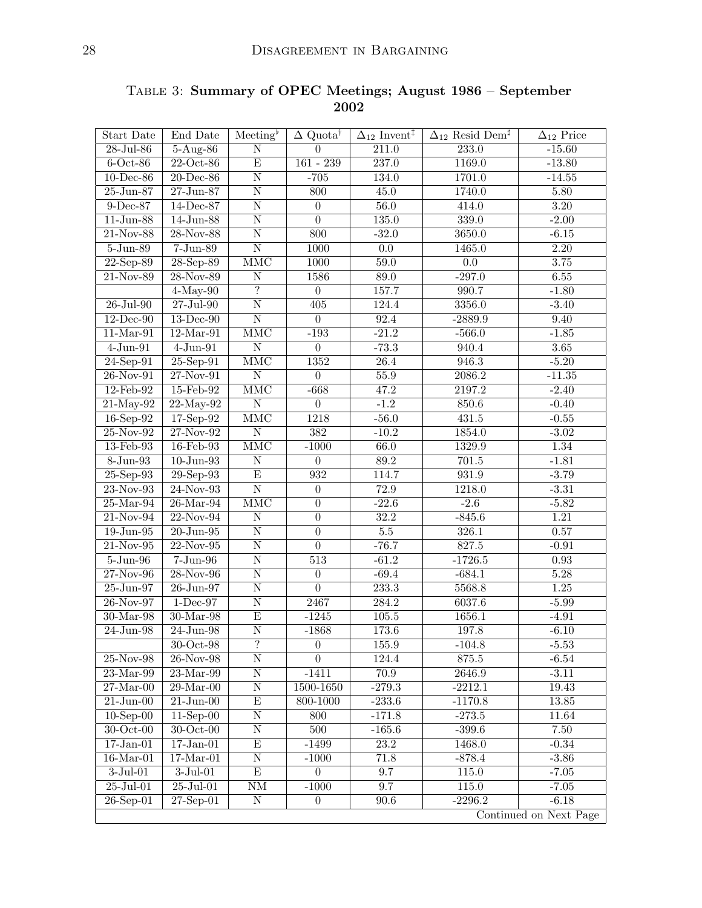| Start Date                          | End Date             | $\text{Meeting}^{\flat}$ | $\Delta$ Quota <sup>†</sup> | $\Delta_{12}$ Invent <sup>†</sup> | $\Delta_{12}$ Resid Dem <sup>#</sup> | $\Delta_{12}$ Price |  |
|-------------------------------------|----------------------|--------------------------|-----------------------------|-----------------------------------|--------------------------------------|---------------------|--|
| $28 - \text{Jul-}86$                | $5-Aug-86$           | ${\rm N}$                | $\theta$                    | $\overline{211.0}$                | 233.0                                | $-15.60$            |  |
| $6$ -Oct-86                         | $22-Oct-86$          | $\overline{E}$           | $161 - 239$                 | 237.0                             | 1169.0                               | $-13.80$            |  |
| $10$ -Dec-86                        | $20$ -Dec-86         | $\overline{\rm N}$       | $-705$                      | 134.0                             | 1701.0                               | $-14.55$            |  |
| $25$ -Jun-87                        | $27 - Jun-87$        | $\mathbf N$              | 800                         | 45.0                              | 1740.0                               | 5.80                |  |
| $9-Dec-87$                          | $14 - Dec-87$        | $\overline{\rm N}$       | $\boldsymbol{0}$            | 56.0                              | 414.0                                | $\overline{3.20}$   |  |
| $11\mbox{-} \mathrm{Jun}\mbox{-}88$ | $14$ -Jun-88         | $\overline{\rm N}$       | $\boldsymbol{0}$            | 135.0                             | 339.0                                | $-2.00$             |  |
| 21-Nov-88                           | 28-Nov-88            | $\overline{\rm N}$       | 800                         | $-32.0$                           | 3650.0                               | $-6.15$             |  |
| $5 - Jun-89$                        | $7 - Jun-89$         | $\overline{\rm N}$       | 1000                        | $0.0\,$                           | 1465.0                               | 2.20                |  |
| $22$ -Sep-89                        | $28$ -Sep-89         | MMC                      | 1000                        | $\overline{59.0}$                 | $\overline{0.0}$                     | 3.75                |  |
| $21-Nov-89$                         | $28-Nov-89$          | ${\bf N}$                | 1586                        | 89.0                              | $-297.0$                             | 6.55                |  |
|                                     | $4-May-90$           | $\overline{?}$           | $\theta$                    | 157.7                             | 990.7                                | $-1.80$             |  |
| $26 - \text{Jul-}90$                | $27 - \text{Jul-}90$ | $\overline{\text{N}}$    | 405                         | 124.4                             | 3356.0                               | $-3.40$             |  |
| $12$ -Dec-90                        | $13 - Dec-90$        | $\overline{\text{N}}$    | $\theta$                    | 92.4                              | $-2889.9$                            | 9.40                |  |
| $11-Mar-91$                         | $12-Mar-91$          | $\overline{\rm MMC}$     | $-193$                      | $-21.2$                           | $-566.0$                             | $-1.85$             |  |
| $4-Jun-91$                          | $4-Jun-91$           | $\overline{\text{N}}$    | $\boldsymbol{0}$            | $-73.3$                           | 940.4                                | 3.65                |  |
| $24$ -Sep-91                        | $25$ -Sep-91         | MMC                      | 1352                        | $\overline{26.4}$                 | 946.3                                | $-5.20$             |  |
| $26-Nov-91$                         | $27-Nov-91$          | $\overline{\text{N}}$    | $\boldsymbol{0}$            | 55.9                              | 2086.2                               | $-11.35$            |  |
| $12$ -Feb-92                        | $15$ -Feb- $92$      | MMC                      | $-668$                      | $\overline{47.2}$                 | 2197.2                               | $-2.40$             |  |
| $21$ -May-92                        | $22-May-92$          | $\overline{\rm N}$       | $\boldsymbol{0}$            | $-1.2$                            | 850.6                                | $-0.40$             |  |
| $16$ -Sep-92                        | 17-Sep-92            | MMC                      | 1218                        | $-56.0$                           | 431.5                                | $-0.55$             |  |
| 25-Nov-92                           | $27-Nov-92$          | $\mathbf N$              | 382                         | $-10.2$                           | 1854.0                               | $-3.02$             |  |
| $13$ -Feb- $93$                     | 16-Feb-93            | MMC                      | $-1000$                     | 66.0                              | 1329.9                               | 1.34                |  |
| $8 - Jun-93$                        | $10 - Jun-93$        | ${\rm N}$                | $\boldsymbol{0}$            | 89.2                              | 701.5                                | $-1.81$             |  |
| $25$ -Sep- $93$                     | $29-Sep-93$          | $\overline{\mathrm{E}}$  | 932                         | 114.7                             | 931.9                                | $-3.79$             |  |
| $23-Nov-93$                         | $24-Nov-93$          | $\overline{\rm N}$       | $\boldsymbol{0}$            | 72.9                              | 1218.0                               | $-3.31$             |  |
| $25$ -Mar-94                        | $26$ -Mar-94         | $\overline{\text{MMC}}$  | $\boldsymbol{0}$            | $-22.6$                           | $-2.6$                               | $-5.82$             |  |
| $21-Nov-94$                         | $22-Nov-94$          | $\overline{\rm N}$       | $\boldsymbol{0}$            | 32.2                              | $-845.6$                             | 1.21                |  |
| $19 - Jun-95$                       | $20$ -Jun-95         | $\overline{\text{N}}$    | $\overline{0}$              | $\overline{5.5}$                  | 326.1                                | $\overline{0.57}$   |  |
| $21$ -Nov-95                        | $22-Nov-95$          | $\overline{\text{N}}$    | $\overline{0}$              | $-76.7$                           | 827.5                                | $-0.91$             |  |
| $5 - Jun-96$                        | $7 - Jun-96$         | $\overline{\text{N}}$    | $\overline{513}$            | $-61.2$                           | $-1726.5$                            | 0.93                |  |
| $27-Nov-96$                         | $28-Nov-96$          | $\overline{\text{N}}$    | $\boldsymbol{0}$            | $-69.4$                           | $-684.1$                             | 5.28                |  |
| $25 - Jun-97$                       | $26 - \text{Jun-}97$ | $\overline{\text{N}}$    | $\overline{0}$              | 233.3                             | 5568.8                               | $\overline{1.25}$   |  |
| $26-Nov-97$                         | $1-Dec-97$           | $\overline{\text{N}}$    | 2467                        | 284.2                             | 6037.6                               | $-5.99$             |  |
| $30 - \overline{Mar-98}$            | $30$ -Mar-98         | $\overline{E}$           | $-1245$                     | $105.5\,$                         | 1656.1                               | $-4.91$             |  |
| $24$ -Jun-98                        | $24$ -Jun- $98$      | $\overline{\text{N}}$    | $-1868$                     | 173.6                             | 197.8                                | $-6.10$             |  |
|                                     | $30$ -Oct-98         | 7                        | $\theta$                    | 155.9                             | $-104.8$                             | $-5.53$             |  |
| 25-Nov-98                           | 26-Nov-98            | $\overline{\text{N}}$    | $\theta$                    | 124.4                             | 875.5                                | $-6.54$             |  |
| $23$ -Mar-99                        | $23$ -Mar-99         | Ν                        | $-1411$                     | 70.9                              | 2646.9                               | $-3.11$             |  |
| $27$ -Mar-00                        | $29$ -Mar- $00$      | $\mathbf N$              | 1500-1650                   | $-279.3$                          | $-2212.1$                            | 19.43               |  |
| $21 - Jun-00$                       | $21 - Jun-00$        | $\mathbf E$              | 800-1000                    | $-233.6$                          | $-1170.8$                            | 13.85               |  |
| $10-Sep-00$                         | $11-Sep-00$          | ${\rm N}$                | 800                         | $-171.8$                          | $-273.5$                             | 11.64               |  |
| $30$ -Oct-00                        | $30$ -Oct-00         | ${\rm N}$                | 500                         | $-165.6$                          | $-399.6$                             | $7.50\,$            |  |
| $17 - Jan-01$                       | $17 - Jan-01$        | $\overline{E}$           | $-1499$                     | $\overline{23.2}$                 | 1468.0                               | $-0.34$             |  |
| $16$ -Mar- $01$                     | $17-Mar-01$          | $\overline{\text{N}}$    | $-1000$                     | 71.8                              | $-878.4$                             | $-3.86$             |  |
| $3-Jul-01$                          | $3-Jul-01$           | $\overline{E}$           | $\theta$                    | 9.7                               | 115.0                                | $-7.05$             |  |
| $25$ -Jul-01                        | $25$ -Jul- $01$      | $\overline{\text{NM}}$   | $-1000$                     | 9.7                               | 115.0                                | $-7.05$             |  |
| $26$ -Sep-01                        | $27 - \text{Sep-}01$ | ${\rm N}$                | $\theta$                    | $90.6\,$                          | $-2296.2$                            | $-6.18$             |  |
| Continued on Next Page              |                      |                          |                             |                                   |                                      |                     |  |

### Table 3: Summary of OPEC Meetings; August 1986 – September 2002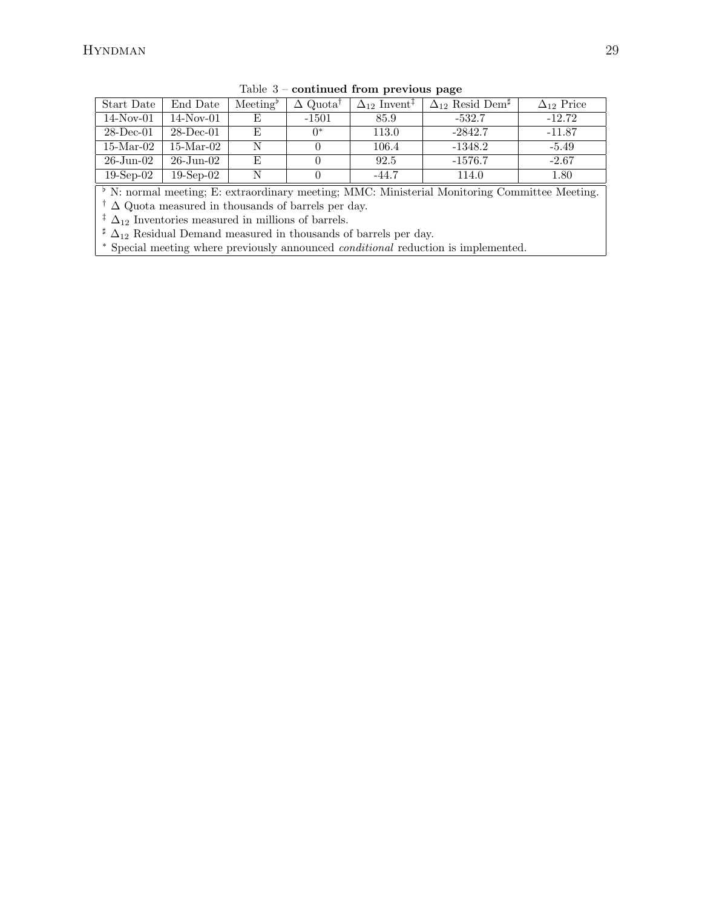| Start Date                                                                                               | End Date                                                        | $M!$ eeting <sup>b</sup> | $\Delta$ Quota <sup>†</sup> | $\Delta_{12}$ Invent <sup>‡</sup> | $\Delta_{12}$ Resid Dem <sup>#</sup> | $\Delta_{12}$ Price |  |  |  |
|----------------------------------------------------------------------------------------------------------|-----------------------------------------------------------------|--------------------------|-----------------------------|-----------------------------------|--------------------------------------|---------------------|--|--|--|
| $14-Nov-01$                                                                                              | $14-Nov-01$                                                     | E                        | $-1501$                     | 85.9                              | $-532.7$                             | $-12.72$            |  |  |  |
| $28$ -Dec-01                                                                                             | $28$ -Dec-01                                                    | E                        | $0^*$                       | 113.0                             | $-2842.7$                            | $-11.87$            |  |  |  |
| $15$ -Mar-02                                                                                             | $15$ -Mar-02                                                    | N                        |                             | 106.4                             | $-1348.2$                            | $-5.49$             |  |  |  |
| 26-Jun-02                                                                                                | 26-Jun-02                                                       | E,                       |                             | 92.5                              | $-1576.7$                            | $-2.67$             |  |  |  |
| $19-Sep-02$                                                                                              | $19$ -Sep-02<br>$-44.7$<br>1.80<br>114.0<br>N<br>$\mathbf{0}$   |                          |                             |                                   |                                      |                     |  |  |  |
| <sup>b</sup> N: normal meeting; E: extraordinary meeting; MMC: Ministerial Monitoring Committee Meeting. |                                                                 |                          |                             |                                   |                                      |                     |  |  |  |
|                                                                                                          | $\uparrow$ A. Oughs measured in the user da of hannels new day. |                          |                             |                                   |                                      |                     |  |  |  |

Table 3 – continued from previous page

† ∆ Quota measured in thousands of barrels per day.

 $\frac{1}{4}$   $\Delta_{12}$  Inventories measured in millions of barrels.

 $\sharp$   $\Delta_{12}$  Residual Demand measured in thousands of barrels per day.

<sup>∗</sup> Special meeting where previously announced conditional reduction is implemented.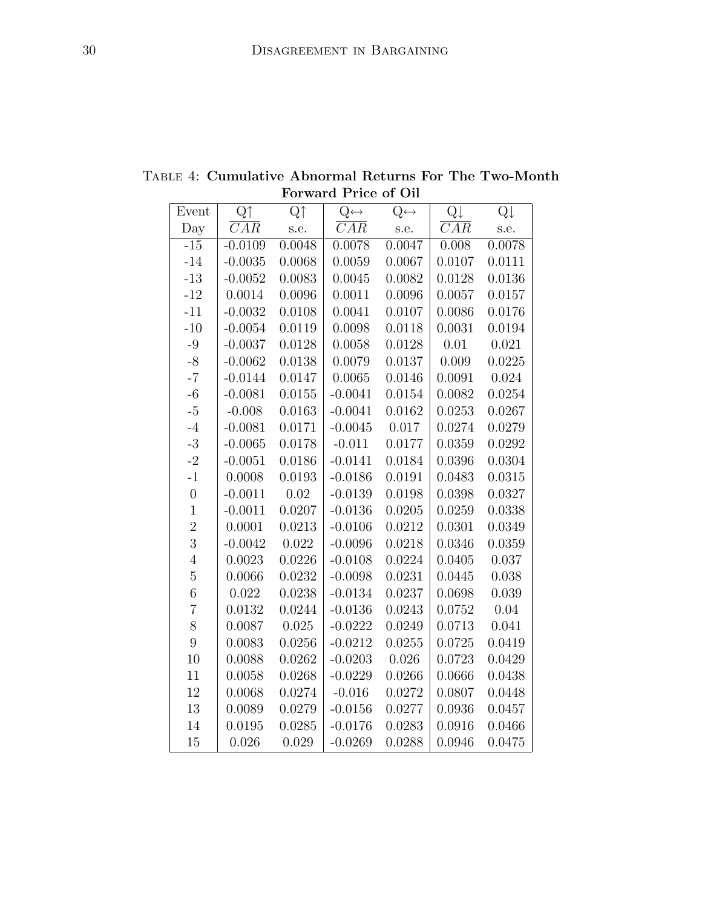| Event          | Q <sub>1</sub>   | $Q\uparrow$ | $Q \leftrightarrow$ | $Q \leftrightarrow$ | $Q\downarrow$    | $Q\downarrow$ |
|----------------|------------------|-------------|---------------------|---------------------|------------------|---------------|
| Day            | $\overline{CAR}$ | s.e.        | $\overline{CAR}$    | s.e.                | $\overline{CAR}$ | s.e.          |
| $-15$          | $-0.0109$        | 0.0048      | 0.0078              | 0.0047              | 0.008            | 0.0078        |
| $-14$          | $-0.0035$        | 0.0068      | 0.0059              | 0.0067              | 0.0107           | 0.0111        |
| $-13$          | $-0.0052$        | 0.0083      | 0.0045              | 0.0082              | 0.0128           | 0.0136        |
| $-12$          | 0.0014           | 0.0096      | 0.0011              | 0.0096              | 0.0057           | 0.0157        |
| $-11$          | $-0.0032$        | 0.0108      | 0.0041              | 0.0107              | 0.0086           | 0.0176        |
| $-10$          | $-0.0054$        | 0.0119      | 0.0098              | 0.0118              | 0.0031           | 0.0194        |
| $-9$           | $-0.0037$        | 0.0128      | 0.0058              | 0.0128              | 0.01             | 0.021         |
| $-8$           | $-0.0062$        | 0.0138      | 0.0079              | 0.0137              | 0.009            | 0.0225        |
| $-7$           | $-0.0144$        | 0.0147      | 0.0065              | 0.0146              | 0.0091           | 0.024         |
| $-6$           | $-0.0081$        | 0.0155      | $-0.0041$           | 0.0154              | 0.0082           | 0.0254        |
| $-5$           | $-0.008$         | 0.0163      | $-0.0041$           | 0.0162              | 0.0253           | 0.0267        |
| $-4$           | $-0.0081$        | 0.0171      | $-0.0045$           | 0.017               | 0.0274           | 0.0279        |
| $-3$           | $-0.0065$        | 0.0178      | $-0.011$            | 0.0177              | 0.0359           | 0.0292        |
| $-2$           | $-0.0051$        | 0.0186      | $-0.0141$           | 0.0184              | 0.0396           | 0.0304        |
| $-1$           | 0.0008           | 0.0193      | $-0.0186$           | 0.0191              | 0.0483           | 0.0315        |
| $\overline{0}$ | $-0.0011$        | 0.02        | $-0.0139$           | 0.0198              | 0.0398           | 0.0327        |
| $\mathbf{1}$   | $-0.0011$        | 0.0207      | $-0.0136$           | 0.0205              | 0.0259           | 0.0338        |
| $\overline{2}$ | 0.0001           | 0.0213      | $-0.0106$           | 0.0212              | 0.0301           | 0.0349        |
| 3              | $-0.0042$        | 0.022       | $-0.0096$           | 0.0218              | 0.0346           | 0.0359        |
| $\overline{4}$ | 0.0023           | 0.0226      | $-0.0108$           | 0.0224              | 0.0405           | 0.037         |
| $\overline{5}$ | 0.0066           | 0.0232      | $-0.0098$           | 0.0231              | 0.0445           | 0.038         |
| $\overline{6}$ | 0.022            | 0.0238      | $-0.0134$           | 0.0237              | 0.0698           | 0.039         |
| $\overline{7}$ | 0.0132           | 0.0244      | $-0.0136$           | 0.0243              | 0.0752           | 0.04          |
| 8              | 0.0087           | 0.025       | $-0.0222$           | 0.0249              | 0.0713           | 0.041         |
| 9              | 0.0083           | 0.0256      | $-0.0212$           | 0.0255              | 0.0725           | 0.0419        |
| 10             | 0.0088           | 0.0262      | $-0.0203$           | 0.026               | 0.0723           | 0.0429        |
| 11             | 0.0058           | 0.0268      | $-0.0229$           | 0.0266              | 0.0666           | 0.0438        |
| 12             | 0.0068           | 0.0274      | $-0.016$            | 0.0272              | 0.0807           | 0.0448        |
| 13             | 0.0089           | 0.0279      | $-0.0156$           | 0.0277              | 0.0936           | 0.0457        |
| 14             | 0.0195           | 0.0285      | $-0.0176$           | 0.0283              | 0.0916           | 0.0466        |
| 15             | 0.026            | 0.029       | $-0.0269$           | 0.0288              | 0.0946           | 0.0475        |

Table 4: Cumulative Abnormal Returns For The Two-Month Forward Price of Oil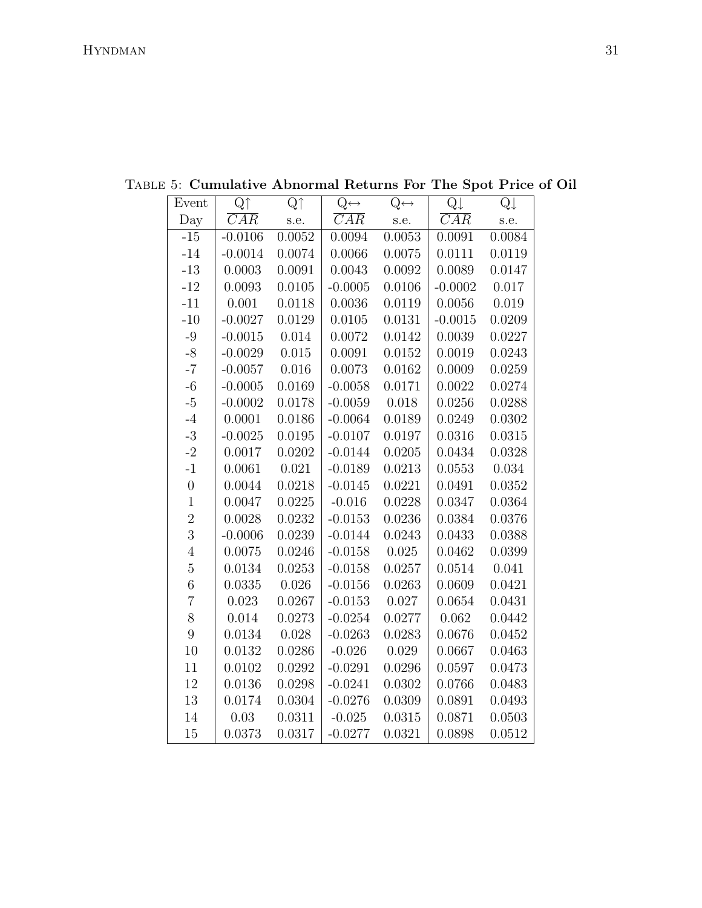| Event            | Q↑               | Q↑     | $\mathrm{Q}\mathord{\leftrightarrow}$ | $\mathrm{Q}\mathord{\leftrightarrow}$ | QĮ               | Q↓     |
|------------------|------------------|--------|---------------------------------------|---------------------------------------|------------------|--------|
| Day              | $\overline{CAR}$ | s.e.   | $\overline{CAR}$                      | s.e.                                  | $\overline{CAR}$ | s.e.   |
| $-15$            | $-0.0106$        | 0.0052 | 0.0094                                | 0.0053                                | 0.0091           | 0.0084 |
| $-14$            | $-0.0014$        | 0.0074 | 0.0066                                | 0.0075                                | 0.0111           | 0.0119 |
| $\mbox{-}13$     | 0.0003           | 0.0091 | 0.0043                                | 0.0092                                | 0.0089           | 0.0147 |
| $-12$            | 0.0093           | 0.0105 | $-0.0005$                             | 0.0106                                | $-0.0002$        | 0.017  |
| $-11$            | 0.001            | 0.0118 | 0.0036                                | 0.0119                                | 0.0056           | 0.019  |
| $-10$            | $-0.0027$        | 0.0129 | 0.0105                                | 0.0131                                | $-0.0015$        | 0.0209 |
| $-9$             | $-0.0015$        | 0.014  | 0.0072                                | 0.0142                                | 0.0039           | 0.0227 |
| $-8$             | $-0.0029$        | 0.015  | 0.0091                                | 0.0152                                | 0.0019           | 0.0243 |
| $-7$             | $-0.0057$        | 0.016  | 0.0073                                | 0.0162                                | 0.0009           | 0.0259 |
| $-6$             | $-0.0005$        | 0.0169 | $-0.0058$                             | 0.0171                                | 0.0022           | 0.0274 |
| $-5$             | $-0.0002$        | 0.0178 | $-0.0059$                             | 0.018                                 | 0.0256           | 0.0288 |
| $-4$             | 0.0001           | 0.0186 | $-0.0064$                             | 0.0189                                | 0.0249           | 0.0302 |
| $-3$             | $-0.0025$        | 0.0195 | $-0.0107$                             | 0.0197                                | 0.0316           | 0.0315 |
| $-2$             | 0.0017           | 0.0202 | $-0.0144$                             | 0.0205                                | 0.0434           | 0.0328 |
| $-1$             | 0.0061           | 0.021  | $-0.0189$                             | 0.0213                                | 0.0553           | 0.034  |
| $\boldsymbol{0}$ | 0.0044           | 0.0218 | $-0.0145$                             | 0.0221                                | 0.0491           | 0.0352 |
| $\mathbf{1}$     | 0.0047           | 0.0225 | $-0.016$                              | 0.0228                                | 0.0347           | 0.0364 |
| $\overline{2}$   | 0.0028           | 0.0232 | $-0.0153$                             | 0.0236                                | 0.0384           | 0.0376 |
| $\overline{3}$   | $-0.0006$        | 0.0239 | $-0.0144$                             | 0.0243                                | 0.0433           | 0.0388 |
| $\overline{4}$   | 0.0075           | 0.0246 | $-0.0158$                             | 0.025                                 | 0.0462           | 0.0399 |
| $\overline{5}$   | 0.0134           | 0.0253 | $-0.0158$                             | 0.0257                                | 0.0514           | 0.041  |
| $\sqrt{6}$       | 0.0335           | 0.026  | $-0.0156$                             | 0.0263                                | 0.0609           | 0.0421 |
| $\overline{7}$   | 0.023            | 0.0267 | $-0.0153$                             | 0.027                                 | 0.0654           | 0.0431 |
| 8                | 0.014            | 0.0273 | $-0.0254$                             | 0.0277                                | 0.062            | 0.0442 |
| $\overline{9}$   | 0.0134           | 0.028  | $-0.0263$                             | 0.0283                                | 0.0676           | 0.0452 |
| 10               | 0.0132           | 0.0286 | $-0.026$                              | 0.029                                 | 0.0667           | 0.0463 |
| 11               | 0.0102           | 0.0292 | $-0.0291$                             | 0.0296                                | 0.0597           | 0.0473 |
| 12               | 0.0136           | 0.0298 | $-0.0241$                             | 0.0302                                | 0.0766           | 0.0483 |
| 13               | 0.0174           | 0.0304 | $-0.0276$                             | 0.0309                                | 0.0891           | 0.0493 |
| 14               | 0.03             | 0.0311 | $-0.025$                              | 0.0315                                | 0.0871           | 0.0503 |
| 15               | 0.0373           | 0.0317 | $-0.0277$                             | 0.0321                                | 0.0898           | 0.0512 |

Table 5: Cumulative Abnormal Returns For The Spot Price of Oil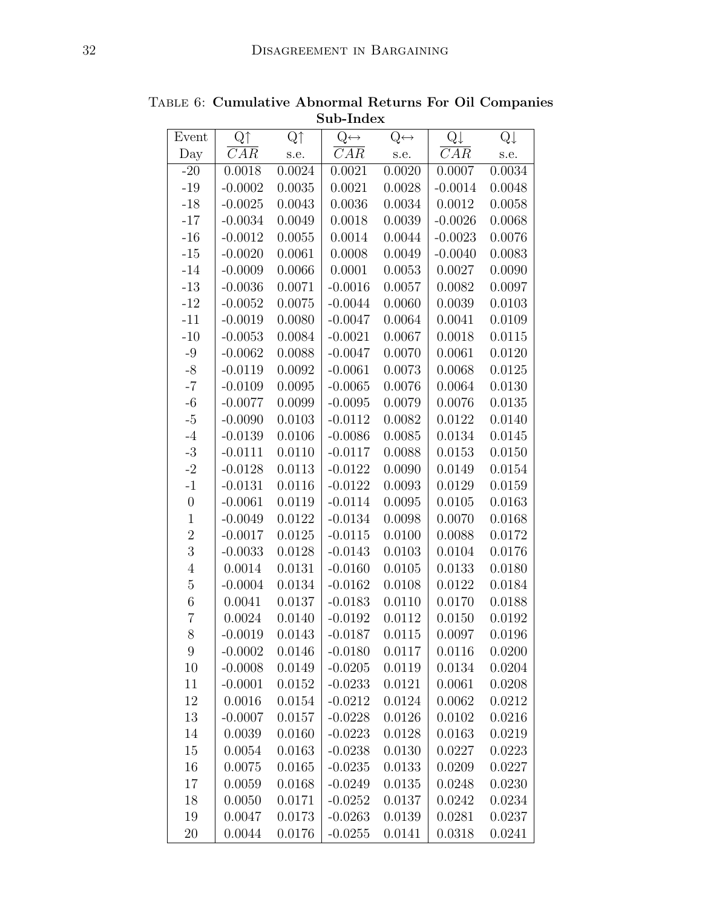| Event            | $Q\uparrow$      | $Q\uparrow$ | $Q \leftrightarrow$ | $Q \leftrightarrow$ | $Q\downarrow$    | $Q\downarrow$ |
|------------------|------------------|-------------|---------------------|---------------------|------------------|---------------|
| Day              | $\overline{CAR}$ | s.e.        | $\overline{CAR}$    | s.e.                | $\overline{CAR}$ | s.e.          |
| $-20$            | 0.0018           | 0.0024      | 0.0021              | 0.0020              | 0.0007           | 0.0034        |
| $-19$            | $-0.0002$        | 0.0035      | 0.0021              | 0.0028              | $-0.0014$        | 0.0048        |
| $-18$            | $-0.0025$        | 0.0043      | 0.0036              | 0.0034              | 0.0012           | 0.0058        |
| $-17$            | $-0.0034$        | 0.0049      | 0.0018              | 0.0039              | $-0.0026$        | 0.0068        |
| $-16$            | $-0.0012$        | 0.0055      | 0.0014              | 0.0044              | $-0.0023$        | 0.0076        |
| $-15$            | $-0.0020$        | 0.0061      | 0.0008              | 0.0049              | $-0.0040$        | 0.0083        |
| $-14$            | $-0.0009$        | 0.0066      | 0.0001              | 0.0053              | 0.0027           | 0.0090        |
| $-13$            | $-0.0036$        | 0.0071      | $-0.0016$           | 0.0057              | 0.0082           | 0.0097        |
| $-12$            | $-0.0052$        | 0.0075      | $-0.0044$           | 0.0060              | 0.0039           | 0.0103        |
| $-11$            | $-0.0019$        | 0.0080      | $-0.0047$           | 0.0064              | 0.0041           | 0.0109        |
| $-10$            | $-0.0053$        | 0.0084      | $-0.0021$           | 0.0067              | 0.0018           | 0.0115        |
| $-9$             | $-0.0062$        | 0.0088      | $-0.0047$           | 0.0070              | 0.0061           | 0.0120        |
| $-8$             | $-0.0119$        | 0.0092      | $-0.0061$           | 0.0073              | 0.0068           | 0.0125        |
| $-7$             | $-0.0109$        | 0.0095      | $-0.0065$           | 0.0076              | 0.0064           | 0.0130        |
| $-6$             | $-0.0077$        | 0.0099      | $-0.0095$           | 0.0079              | 0.0076           | 0.0135        |
| $-5$             | $-0.0090$        | 0.0103      | $-0.0112$           | 0.0082              | 0.0122           | 0.0140        |
| $-4$             | $-0.0139$        | 0.0106      | $-0.0086$           | 0.0085              | 0.0134           | 0.0145        |
| $-3$             | $-0.0111$        | 0.0110      | $-0.0117$           | 0.0088              | 0.0153           | 0.0150        |
| $-2$             | $-0.0128$        | 0.0113      | $-0.0122$           | 0.0090              | 0.0149           | 0.0154        |
| $-1$             | $-0.0131$        | 0.0116      | $-0.0122$           | 0.0093              | 0.0129           | 0.0159        |
| $\boldsymbol{0}$ | $-0.0061$        | 0.0119      | $-0.0114$           | 0.0095              | 0.0105           | 0.0163        |
| $\mathbf 1$      | $-0.0049$        | 0.0122      | $-0.0134$           | 0.0098              | 0.0070           | 0.0168        |
| $\overline{2}$   | $-0.0017$        | 0.0125      | $-0.0115$           | 0.0100              | 0.0088           | 0.0172        |
| 3                | $-0.0033$        | 0.0128      | $-0.0143$           | 0.0103              | 0.0104           | 0.0176        |
| $\overline{4}$   | 0.0014           | 0.0131      | $-0.0160$           | 0.0105              | 0.0133           | 0.0180        |
| $\overline{5}$   | $-0.0004$        | 0.0134      | $-0.0162$           | 0.0108              | 0.0122           | 0.0184        |
| $\overline{6}$   | 0.0041           | 0.0137      | $-0.0183$           | 0.0110              | 0.0170           | 0.0188        |
| $\overline{7}$   | 0.0024           | 0.0140      | $-0.0192$           | 0.0112              | 0.0150           | 0.0192        |
| 8                | $-0.0019$        | 0.0143      | $-0.0187$           | 0.0115              | 0.0097           | 0.0196        |
| 9                | $-0.0002$        | 0.0146      | $-0.0180$           | 0.0117              | 0.0116           | 0.0200        |
| 10               | $-0.0008$        | 0.0149      | $-0.0205$           | 0.0119              | 0.0134           | 0.0204        |
| 11               | $-0.0001$        | 0.0152      | $-0.0233$           | 0.0121              | 0.0061           | 0.0208        |
| 12               | 0.0016           | 0.0154      | $-0.0212$           | 0.0124              | 0.0062           | 0.0212        |
| 13               | $-0.0007$        | 0.0157      | $-0.0228$           | 0.0126              | 0.0102           | 0.0216        |
| 14               | 0.0039           | 0.0160      | $-0.0223$           | 0.0128              | 0.0163           | 0.0219        |
| 15               | 0.0054           | 0.0163      | $-0.0238$           | 0.0130              | 0.0227           | 0.0223        |
| 16               | 0.0075           | 0.0165      | $-0.0235$           | 0.0133              | 0.0209           | 0.0227        |
| 17               | 0.0059           | 0.0168      | $-0.0249$           | 0.0135              | 0.0248           | 0.0230        |
| 18               | 0.0050           | 0.0171      | $-0.0252$           | 0.0137              | 0.0242           | 0.0234        |
| 19               | 0.0047           | 0.0173      | $-0.0263$           | 0.0139              | 0.0281           | 0.0237        |
| 20               | 0.0044           | 0.0176      | $-0.0255$           | 0.0141              | 0.0318           | 0.0241        |

Table 6: Cumulative Abnormal Returns For Oil Companies Sub-Index